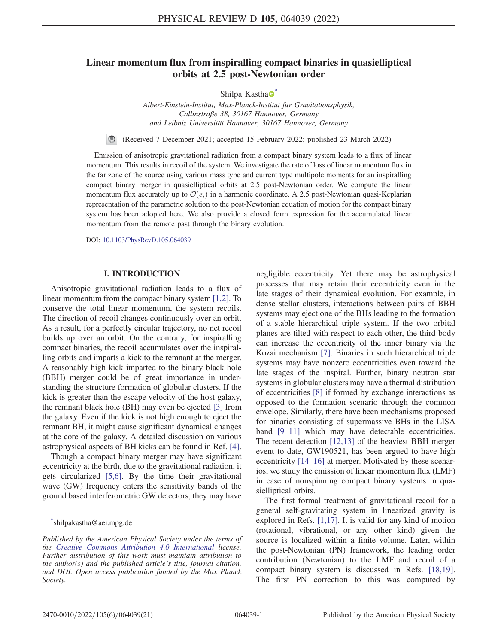# <span id="page-0-1"></span>Linear momentum flux from inspiralling compact binaries in quasielliptical orbits at 2.5 post-Newtonian order

Shilpa Kastha<sup>o</sup>

Albert-Einstein-Institut, Max-Planck-Institut für Gravitationsphysik, Callinstraße 38, 30167 Hannover, Germany and Leibniz Universität Hannover, 30167 Hannover, Germany

(Received 7 December 2021; accepted 15 February 2022; published 23 March 2022)

Emission of anisotropic gravitational radiation from a compact binary system leads to a flux of linear momentum. This results in recoil of the system. We investigate the rate of loss of linear momentum flux in the far zone of the source using various mass type and current type multipole moments for an inspiralling compact binary merger in quasielliptical orbits at 2.5 post-Newtonian order. We compute the linear momentum flux accurately up to  $\mathcal{O}(e_t)$  in a harmonic coordinate. A 2.5 post-Newtonian quasi-Keplarian representation of the parametric solution to the post-Newtonian equation of motion for the compact binary system has been adopted here. We also provide a closed form expression for the accumulated linear momentum from the remote past through the binary evolution.

DOI: [10.1103/PhysRevD.105.064039](https://doi.org/10.1103/PhysRevD.105.064039)

#### I. INTRODUCTION

Anisotropic gravitational radiation leads to a flux of linear momentum from the compact binary system [[1](#page-19-0),[2\]](#page-19-1). To conserve the total linear momentum, the system recoils. The direction of recoil changes continuously over an orbit. As a result, for a perfectly circular trajectory, no net recoil builds up over an orbit. On the contrary, for inspiralling compact binaries, the recoil accumulates over the inspiralling orbits and imparts a kick to the remnant at the merger. A reasonably high kick imparted to the binary black hole (BBH) merger could be of great importance in understanding the structure formation of globular clusters. If the kick is greater than the escape velocity of the host galaxy, the remnant black hole (BH) may even be ejected [\[3\]](#page-19-2) from the galaxy. Even if the kick is not high enough to eject the remnant BH, it might cause significant dynamical changes at the core of the galaxy. A detailed discussion on various astrophysical aspects of BH kicks can be found in Ref. [[4](#page-19-3)].

Though a compact binary merger may have significant eccentricity at the birth, due to the gravitational radiation, it gets circularized [\[5](#page-19-4),[6](#page-19-5)]. By the time their gravitational wave (GW) frequency enters the sensitivity bands of the ground based interferometric GW detectors, they may have negligible eccentricity. Yet there may be astrophysical processes that may retain their eccentricity even in the late stages of their dynamical evolution. For example, in dense stellar clusters, interactions between pairs of BBH systems may eject one of the BHs leading to the formation of a stable hierarchical triple system. If the two orbital planes are tilted with respect to each other, the third body can increase the eccentricity of the inner binary via the Kozai mechanism [[7\]](#page-19-6). Binaries in such hierarchical triple systems may have nonzero eccentricities even toward the late stages of the inspiral. Further, binary neutron star systems in globular clusters may have a thermal distribution of eccentricities [\[8\]](#page-19-7) if formed by exchange interactions as opposed to the formation scenario through the common envelope. Similarly, there have been mechanisms proposed for binaries consisting of supermassive BHs in the LISA band [[9](#page-19-8)–[11\]](#page-19-9) which may have detectable eccentricities. The recent detection [[12](#page-19-10),[13](#page-19-11)] of the heaviest BBH merger event to date, GW190521, has been argued to have high eccentricity [[14](#page-19-12)–[16\]](#page-19-13) at merger. Motivated by these scenarios, we study the emission of linear momentum flux (LMF) in case of nonspinning compact binary systems in quasielliptical orbits.

The first formal treatment of gravitational recoil for a general self-gravitating system in linearized gravity is explored in Refs. [[1](#page-19-0)[,17\]](#page-19-14). It is valid for any kind of motion (rotational, vibrational, or any other kind) given the source is localized within a finite volume. Later, within the post-Newtonian (PN) framework, the leading order contribution (Newtonian) to the LMF and recoil of a compact binary system is discussed in Refs. [\[18,](#page-19-15)[19](#page-19-16)]. The first PN correction to this was computed by

<span id="page-0-0"></span>[<sup>\\*</sup>](#page-0-1) shilpakastha@aei.mpg.de

Published by the American Physical Society under the terms of the [Creative Commons Attribution 4.0 International](https://creativecommons.org/licenses/by/4.0/) license. Further distribution of this work must maintain attribution to the author(s) and the published article's title, journal citation, and DOI. Open access publication funded by the Max Planck Society.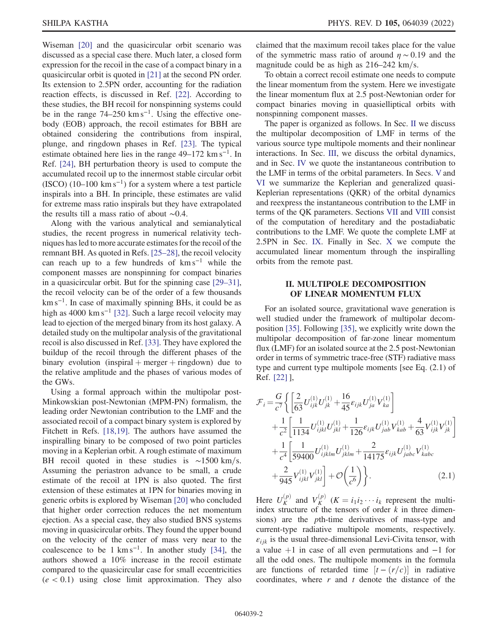Wiseman [[20](#page-19-17)] and the quasicircular orbit scenario was discussed as a special case there. Much later, a closed form expression for the recoil in the case of a compact binary in a quasicircular orbit is quoted in [\[21\]](#page-19-18) at the second PN order. Its extension to 2.5PN order, accounting for the radiation reaction effects, is discussed in Ref. [\[22\]](#page-19-19). According to these studies, the BH recoil for nonspinning systems could be in the range  $74-250 \text{ km s}^{-1}$ . Using the effective onebody (EOB) approach, the recoil estimates for BBH are obtained considering the contributions from inspiral, plunge, and ringdown phases in Ref. [[23](#page-19-20)]. The typical estimate obtained here lies in the range 49–172 km s<sup>−</sup><sup>1</sup>. In Ref. [[24](#page-19-21)], BH perturbation theory is used to compute the accumulated recoil up to the innermost stable circular orbit (ISCO) (10–100 km s<sup>-1</sup>) for a system where a test particle inspirals into a BH. In principle, these estimates are valid for extreme mass ratio inspirals but they have extrapolated the results till a mass ratio of about ∼0.4.

Along with the various analytical and semianalytical studies, the recent progress in numerical relativity techniques has led to more accurate estimates for the recoil of the remnant BH. As quoted in Refs. [[25](#page-19-22)–[28](#page-19-23)], the recoil velocity can reach up to a few hundreds of  $km s^{-1}$  while the component masses are nonspinning for compact binaries in a quasicircular orbit. But for the spinning case [[29](#page-19-24)–[31](#page-19-25)], the recoil velocity can be of the order of a few thousands km s<sup>−</sup><sup>1</sup>. In case of maximally spinning BHs, it could be as high as 4000 km s<sup>-1</sup> [\[32\]](#page-19-26). Such a large recoil velocity may lead to ejection of the merged binary from its host galaxy. A detailed study on the multipolar analysis of the gravitational recoil is also discussed in Ref. [[33](#page-19-27)]. They have explored the buildup of the recoil through the different phases of the binary evolution (inspiral  $+$  merger  $+$  ringdown) due to the relative amplitude and the phases of various modes of the GWs.

Using a formal approach within the multipolar post-Minkowskian post-Newtonian (MPM-PN) formalism, the leading order Newtonian contribution to the LMF and the associated recoil of a compact binary system is explored by Fitchett in Refs. [\[18](#page-19-15)[,19\]](#page-19-16). The authors have assumed the inspiralling binary to be composed of two point particles moving in a Keplerian orbit. A rough estimate of maximum BH recoil quoted in these studies is  $\sim$ 1500 km/s. Assuming the periastron advance to be small, a crude estimate of the recoil at 1PN is also quoted. The first extension of these estimates at 1PN for binaries moving in generic orbits is explored by Wiseman [\[20\]](#page-19-17) who concluded that higher order correction reduces the net momentum ejection. As a special case, they also studied BNS systems moving in quasicircular orbits. They found the upper bound on the velocity of the center of mass very near to the coalescence to be 1 km s<sup>-1</sup>. In another study [\[34\]](#page-19-28), the authors showed a 10% increase in the recoil estimate compared to the quasicircular case for small eccentricities  $(e < 0.1)$  using close limit approximation. They also claimed that the maximum recoil takes place for the value of the symmetric mass ratio of around  $\eta \sim 0.19$  and the magnitude could be as high as  $216-242$  km/s.

To obtain a correct recoil estimate one needs to compute the linear momentum from the system. Here we investigate the linear momentum flux at 2.5 post-Newtonian order for compact binaries moving in quasielliptical orbits with nonspinning component masses.

The paper is organized as follows. In Sec. [II](#page-1-0) we discuss the multipolar decomposition of LMF in terms of the various source type multipole moments and their nonlinear interactions. In Sec. [III,](#page-5-0) we discuss the orbital dynamics, and in Sec. [IV](#page-5-1) we quote the instantaneous contribution to the LMF in terms of the orbital parameters. In Secs. [V](#page-6-0) and [VI](#page-7-0) we summarize the Keplerian and generalized quasi-Keplerian representations (QKR) of the orbital dynamics and reexpress the instantaneous contribution to the LMF in terms of the QK parameters. Sections [VII](#page-10-0) and [VIII](#page-12-0) consist of the computation of hereditary and the postadiabatic contributions to the LMF. We quote the complete LMF at 2.5PN in Sec. [IX.](#page-13-0) Finally in Sec. [X](#page-14-0) we compute the accumulated linear momentum through the inspiralling orbits from the remote past.

#### <span id="page-1-0"></span>II. MULTIPOLE DECOMPOSITION OF LINEAR MOMENTUM FLUX

For an isolated source, gravitational wave generation is well studied under the framework of multipolar decomposition [[35](#page-19-29)]. Following [\[35\]](#page-19-29), we explicitly write down the multipolar decomposition of far-zone linear momentum flux (LMF) for an isolated source at the 2.5 post-Newtonian order in terms of symmetric trace-free (STF) radiative mass type and current type multipole moments [see Eq. (2.1) of Ref. [[22](#page-19-19)] ],

<span id="page-1-1"></span>
$$
\mathcal{F}_{i} = \frac{G}{c^{7}} \left\{ \left[ \frac{2}{63} U_{ijk}^{(1)} U_{jk}^{(1)} + \frac{16}{45} \epsilon_{ijk} U_{ja}^{(1)} V_{ka}^{(1)} \right] + \frac{1}{c^{2}} \left[ \frac{1}{1134} U_{ijkl}^{(1)} U_{jkl}^{(1)} + \frac{1}{126} \epsilon_{ijk} U_{jab}^{(1)} V_{kab}^{(1)} + \frac{4}{63} V_{ijk}^{(1)} V_{jk}^{(1)} \right] + \frac{1}{c^{4}} \left[ \frac{1}{59400} U_{ijklm}^{(1)} U_{jklm}^{(1)} + \frac{2}{14175} \epsilon_{ijk} U_{jabc}^{(1)} V_{kabc}^{(1)} + \frac{2}{945} V_{ijkl}^{(1)} V_{jkl}^{(1)} \right] + \mathcal{O} \left( \frac{1}{c^{6}} \right) \right\}.
$$
\n(2.1)

Here  $U_K^{(p)}$  and  $V_K^{(p)}$   $(K = i_1 i_2 \cdots i_k$  represent the multi-<br>index structure of the tensors of order k in three dimenindex structure of the tensors of order k in three dimensions) are the pth-time derivatives of mass-type and current-type radiative multipole moments, respectively.  $\varepsilon_{ijk}$  is the usual three-dimensional Levi-Civita tensor, with a value  $+1$  in case of all even permutations and  $-1$  for all the odd ones. The multipole moments in the formula are functions of retarded time  $[t - (r/c)]$  in radiative coordinates, where  $r$  and  $t$  denote the distance of the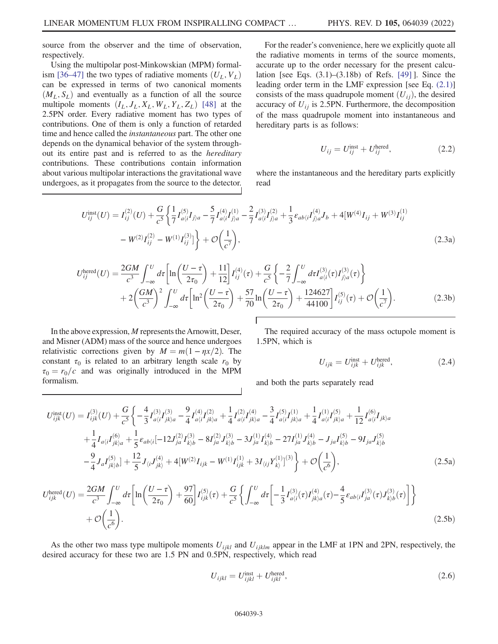source from the observer and the time of observation, respectively.

Using the multipolar post-Minkowskian (MPM) formal-ism [[36](#page-19-30)–[47\]](#page-19-31) the two types of radiative moments  $(U_L, V_L)$ can be expressed in terms of two canonical moments  $(M_L, S_L)$  and eventually as a function of all the source multipole moments  $(I_L, J_L, X_L, W_L, Y_L, Z_L)$  [\[48\]](#page-19-32) at the 2.5PN order. Every radiative moment has two types of contributions. One of them is only a function of retarded time and hence called the instantaneous part. The other one depends on the dynamical behavior of the system throughout its entire past and is referred to as the hereditary contributions. These contributions contain information about various multipolar interactions the gravitational wave undergoes, as it propagates from the source to the detector.

For the reader's convenience, here we explicitly quote all the radiative moments in terms of the source moments, accurate up to the order necessary for the present calculation [see Eqs. (3.1)–(3.18b) of Refs. [\[49\]](#page-19-33) ]. Since the leading order term in the LMF expression [see Eq. [\(2.1\)\]](#page-1-1) consists of the mass quadrupole moment  $(U_{ij})$ , the desired accuracy of  $U_{ij}$  is 2.5PN. Furthermore, the decomposition of the mass quadrupole moment into instantaneous and hereditary parts is as follows:

$$
U_{ij} = U_{ij}^{\text{inst}} + U_{ij}^{\text{hered}},\tag{2.2}
$$

<span id="page-2-0"></span>where the instantaneous and the hereditary parts explicitly read

$$
U_{ij}^{\text{inst}}(U) = I_{ij}^{(2)}(U) + \frac{G}{c^5} \left\{ \frac{1}{7} I_{a\langle i}^{(5)} I_{j\rangle a} - \frac{5}{7} I_{a\langle i}^{(4)} I_{j\rangle a}^{(1)} - \frac{2}{7} I_{a\langle i}^{(3)} I_{j\rangle a}^{(2)} + \frac{1}{3} \varepsilon_{ab\langle i} I_{j\rangle a}^{(4)} J_b + 4[W^{(4)} I_{ij} + W^{(3)} I_{ij}^{(1)} - W^{(2)} I_{ij}^{(2)} - W^{(1)} I_{ij}^{(3)} \right] \right\} + \mathcal{O}\left(\frac{1}{c^7}\right),\tag{2.3a}
$$

$$
U_{ij}^{\text{hered}}(U) = \frac{2GM}{c^3} \int_{-\infty}^{U} d\tau \left[ \ln \left( \frac{U - \tau}{2\tau_0} \right) + \frac{11}{12} \right] I_{ij}^{(4)}(\tau) + \frac{G}{c^5} \left\{ -\frac{2}{7} \int_{-\infty}^{U} d\tau I_{a(i}^{(3)}(\tau) I_{j)a}^{(3)}(\tau) \right\} + 2 \left( \frac{GM}{c^3} \right)^2 \int_{-\infty}^{U} d\tau \left[ \ln^2 \left( \frac{U - \tau}{2\tau_0} \right) + \frac{57}{70} \ln \left( \frac{U - \tau}{2\tau_0} \right) + \frac{124627}{44100} \right] I_{ij}^{(5)}(\tau) + \mathcal{O} \left( \frac{1}{c^7} \right). \tag{2.3b}
$$

In the above expression, M represents the Arnowitt, Deser, and Misner (ADM) mass of the source and hence undergoes relativistic corrections given by  $M = m(1 - \eta x/2)$ . The constant  $\tau_0$  is related to an arbitrary length scale  $r_0$  by  $\tau_0 = r_0/c$  and was originally introduced in the MPM formalism.

The required accuracy of the mass octupole moment is 1.5PN, which is

$$
U_{ijk} = U_{ijk}^{\text{inst}} + U_{ijk}^{\text{hered}},\tag{2.4}
$$

and both the parts separately read

$$
U_{ijk}^{\text{inst}}(U) = I_{ijk}^{(3)}(U) + \frac{G}{c^5} \left\{ -\frac{4}{3} I_{a\langle i}^{(3)} I_{jk\rangle a}^{(3)} - \frac{9}{4} I_{a\langle i}^{(1)} I_{jk\rangle a}^{(2)} + \frac{1}{4} I_{a\langle i}^{(2)} I_{jk\rangle a}^{(4)} - \frac{3}{4} I_{a\langle i}^{(5)} I_{jk\rangle a}^{(1)} + \frac{1}{4} I_{a\langle i}^{(1)} I_{jk\rangle a}^{(5)} + \frac{1}{12} I_{a\langle i}^{(6)} I_{jk\rangle a} + \frac{1}{4} I_{a\langle i} I_{jk\rangle a}^{(6)} + \frac{1}{5} \varepsilon_{ab\langle i} [-12J_{ja}^{(2)} I_{kj\rangle a}^{(3)} - 8I_{ja}^{(2)} J_{kj\rangle b}^{(3)} - 3J_{ja}^{(1)} I_{kj\rangle b}^{(4)} - 27I_{ja}^{(1)} J_{kj\rangle b}^{(4)} - J_{ja} I_{kj\rangle b}^{(5)} - 9I_{ja} J_{kj\rangle b}^{(5)}
$$

$$
- \frac{9}{4} J_{a} I_{jk\rangle b}^{(5)} \right\} + \frac{12}{5} J_{\langle i} J_{jk\rangle}^{(4)} + 4[W^{(2)} I_{ijk} - W^{(1)} I_{ijk}^{(1)} + 3I_{\langle ij} Y_{k\rangle}^{(1)}]^3 \right\} + \mathcal{O}\left(\frac{1}{c^6}\right), \tag{2.5a}
$$

$$
U_{ijk}^{\text{hered}}(U) = \frac{2GM}{3} \int^{U} d\tau \left[ \ln\left(\frac{U-\tau}{2}\right) + \frac{97}{6} I_{ijk}^{(5)}(\tau) + \frac{G}{5} \int^{U} d\tau \left[ -\frac{1}{2} I_{a\langle i}^{(3)}(\tau) I_{ik\rangle a}^{(4)}(\tau) - \frac{4}{5} \varepsilon_{ab\langle i} I_{ja}^{(3)}(\tau) J_{k\rangle b}^{(3)}(\tau) \right] \right\}
$$

$$
U_{ijk}^{\text{hered}}(U) = \frac{2GM}{c^3} \int_{-\infty}^{U} d\tau \left[ \ln \left( \frac{U - \tau}{2\tau_0} \right) + \frac{97}{60} \right] I_{ijk}^{(5)}(\tau) + \frac{G}{c^5} \left\{ \int_{-\infty}^{U} d\tau \left[ -\frac{1}{3} I_{a(i}^{(3)}(\tau) I_{jk)a}^{(4)}(\tau) - \frac{4}{5} \varepsilon_{ab\langle i} I_{ja}^{(3)}(\tau) J_{k\rangle b}^{(3)}(\tau) \right] \right\}
$$
  
+  $\mathcal{O}\left(\frac{1}{c^6}\right).$  (2.5b)

As the other two mass type multipole moments  $U_{ijkl}$  and  $U_{ijklm}$  appear in the LMF at 1PN and 2PN, respectively, the desired accuracy for these two are 1.5 PN and 0.5PN, respectively, which read

$$
U_{ijkl} = U_{ijkl}^{\text{inst}} + U_{ijkl}^{\text{hered}},\tag{2.6}
$$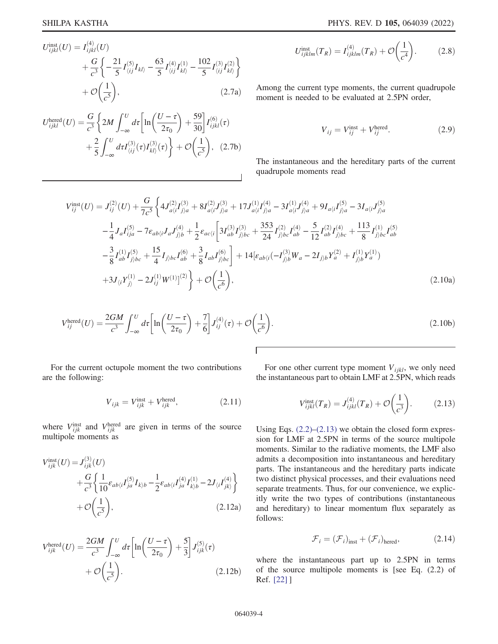$$
U_{ijkl}^{\text{inst}}(U) = I_{ijkl}^{(4)}(U) + \frac{G}{c^3} \left\{ -\frac{21}{5} I_{\langle ij \rangle}^{(5)} I_{kl\rangle} - \frac{63}{5} I_{\langle ij \rangle}^{(4)} I_{kl\rangle}^{(1)} - \frac{102}{5} I_{\langle ij \rangle}^{(3)} I_{kl\rangle}^{(2)} \right\} + \mathcal{O}\left(\frac{1}{c^5}\right),
$$
(2.7a)

$$
U_{ijkl}^{\text{hered}}(U) = \frac{G}{c^3} \left\{ 2M \int_{-\infty}^{U} d\tau \left[ \ln \left( \frac{U - \tau}{2\tau_0} \right) + \frac{59}{30} \right] I_{ijkl}^{(6)}(\tau) + \frac{2}{5} \int_{-\infty}^{U} d\tau I_{\langle ij \rangle}^{(3)}(\tau) I_{kl\rangle}^{(3)}(\tau) \right\} + \mathcal{O}\left(\frac{1}{c^5}\right), \quad (2.7b)
$$

$$
U_{ijklm}^{\text{inst}}(T_R) = I_{ijklm}^{(4)}(T_R) + \mathcal{O}\left(\frac{1}{c^4}\right). \tag{2.8}
$$

Among the current type moments, the current quadrupole moment is needed to be evaluated at 2.5PN order,

$$
V_{ij} = V_{ij}^{\text{inst}} + V_{ij}^{\text{hered}}.\tag{2.9}
$$

The instantaneous and the hereditary parts of the current quadrupole moments read

$$
V_{ij}^{\text{inst}}(U) = J_{ij}^{(2)}(U) + \frac{G}{7c^5} \left\{ 4J_{a\langle i}^{(2)}I_{j\rangle a}^{(3)} + 8I_{a\langle i}^{(2)}J_{j\rangle a}^{(3)} + 17J_{a\langle i}^{(1)}I_{j\rangle a}^{(4)} - 3I_{a\langle i}^{(1)}J_{j\rangle a}^{(4)} + 9I_{a\langle i}I_{j\rangle a}^{(5)} - 3I_{a\langle i}J_{j\rangle a}^{(5)} - 3I_{a\langle i}J_{j\rangle a}^{(5)} - \frac{1}{4}J_{a}I_{ija}^{(5)} - 7\epsilon_{ab\langle i}J_{a}J_{j\rangle b} + \frac{1}{2}\epsilon_{ac\langle i} \left[ 3I_{ab}^{(3)}I_{j\rangle bc}^{(3)} + \frac{353}{24}I_{j\rangle bc}^{(2)}I_{ab}^{(4)} - \frac{5}{12}I_{ab}^{(2)}I_{j\rangle bc}^{(4)} + \frac{113}{8}I_{j\rangle bc}^{(1)}I_{ab}^{(5)} - \frac{3}{8}I_{ab}I_{j\rangle bc}^{(1)}I_{j\rangle bc} + \frac{15}{4}I_{j\rangle bc}I_{ab}^{(6)} + \frac{3}{8}I_{ab}I_{j\rangle bc}^{(6)} \right\} + 14[\epsilon_{ab\langle i}(-I_{j\rangle b}^{(3)}W_{a} - 2I_{j\rangle b}Y_{a}^{(2)} + I_{j\rangle b}^{(1)}Y_{a}^{(1)}) - 3I_{\langle i}Y_{j\rangle}^{(1)} - 2J_{ij}^{(1)}W^{(1)}]^{(2)} \right\} + \mathcal{O}\left(\frac{1}{c^{6}}\right), \tag{2.10a}
$$

$$
V_{ij}^{\text{hered}}(U) = \frac{2GM}{c^3} \int_{-\infty}^{U} d\tau \left[ \ln \left( \frac{U - \tau}{2\tau_0} \right) + \frac{7}{6} \right] J_{ij}^{(4)}(\tau) + \mathcal{O}\left(\frac{1}{c^6}\right). \tag{2.10b}
$$

Г

For the current octupole moment the two contributions are the following:

$$
V_{ijk} = V_{ijk}^{\text{inst}} + V_{ijk}^{\text{hered}},\tag{2.11}
$$

where  $V_{ijk}^{inst}$  and  $V_{ijk}^{hered}$  are given in terms of the source multipole moments as

$$
V_{ijk}^{\text{inst}}(U) = J_{ijk}^{(3)}(U) + \frac{G}{c^3} \left\{ \frac{1}{10} \varepsilon_{ab\langle i} I_{ja}^{(5)} I_{k\rangle b} - \frac{1}{2} \varepsilon_{ab\langle i} I_{ja}^{(4)} I_{k\rangle b}^{(1)} - 2J_{\langle i} I_{jk\rangle}^{(4)} \right\} + \mathcal{O}\left(\frac{1}{c^5}\right),
$$
(2.12a)

$$
V_{ijk}^{\text{hered}}(U) = \frac{2GM}{c^3} \int_{-\infty}^{U} d\tau \left[ \ln \left( \frac{U - \tau}{2\tau_0} \right) + \frac{5}{3} \right] J_{ijk}^{(5)}(\tau) + \mathcal{O}\left(\frac{1}{c^5}\right). \tag{2.12b}
$$

<span id="page-3-0"></span>For one other current type moment  $V_{ijkl}$ , we only need the instantaneous part to obtain LMF at 2.5PN, which reads

$$
V_{ijkl}^{\text{inst}}(T_R) = J_{ijkl}^{(4)}(T_R) + \mathcal{O}\left(\frac{1}{c^3}\right). \tag{2.13}
$$

Using Eqs.  $(2.2)$ – $(2.13)$  we obtain the closed form expression for LMF at 2.5PN in terms of the source multipole moments. Similar to the radiative moments, the LMF also admits a decomposition into instantaneous and hereditary parts. The instantaneous and the hereditary parts indicate two distinct physical processes, and their evaluations need separate treatments. Thus, for our convenience, we explicitly write the two types of contributions (instantaneous and hereditary) to linear momentum flux separately as follows:

$$
\mathcal{F}_i = (\mathcal{F}_i)_{\text{inst}} + (\mathcal{F}_i)_{\text{hered}},\tag{2.14}
$$

<span id="page-3-1"></span>where the instantaneous part up to 2.5PN in terms of the source multipole moments is [see Eq.  $(2.2)$  of Ref. [22] ]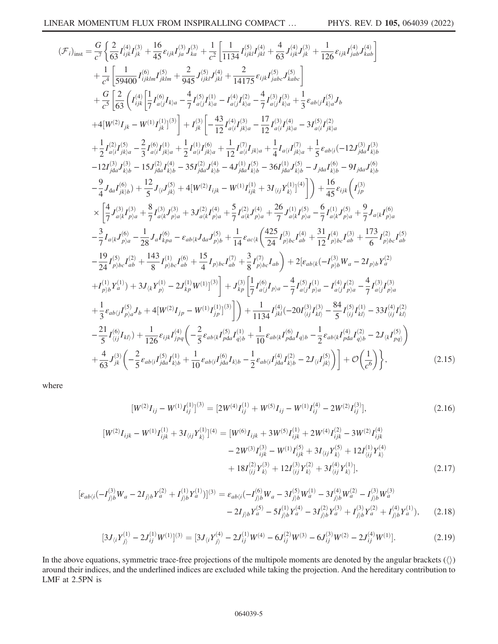$$
\begin{split} (\mathcal{F}_{i})_{\text{inst}} &= \frac{G}{c^{7}} \bigg\{ \frac{2}{63} I_{ijk}^{(4)} J_{jk}^{(3)} + \frac{16}{45} e_{ijk} I_{ja}^{(3)} J_{k0}^{(3)} + \frac{1}{c^{2}} \bigg[ \frac{1}{1134} I_{ijk}^{(5)} J_{jk}^{(4)} + \frac{4}{63} J_{ijk}^{(4)} J_{jk}^{(3)} + \frac{1}{126} e_{ijk} I_{jab}^{(4)} J_{kab}^{(4)} \bigg] \\ &+ \frac{1}{c^{4}} \bigg[ \frac{1}{59400} I_{ijklm}^{(6)} I_{jklm}^{(5)} + \frac{2}{945} J_{ijk}^{(5)} J_{jk}^{(4)} + \frac{2}{14175} e_{ijk} I_{jabc}^{(5)} J_{kabc}^{(5)} \bigg] \\ &+ \frac{G}{c^{5}} \bigg[ \frac{G}{63} \bigg( I_{ijk}^{(4)} \bigg[ I_{a(j)}^{(4)} I_{k0} - \frac{4}{7} I_{a(j)}^{(4)} I_{k0} - I_{a(j)}^{(4)} I_{k0}^{(2)} - \frac{4}{7} I_{a(j)}^{(3)} I_{k0}^{(4)} + \frac{1}{3} e_{ab(j} I_{k0}^{(5)} J_{b} \\ &+ 4[W^{(2)} I_{jk} - W^{(1)} I_{jk}^{(1)}]^{(3)} \bigg] + I_{jk}^{(3)} \bigg[ - \frac{43}{12} I_{a(i)}^{(4)} I_{jk0}^{(4)} - \frac{17}{12} I_{a(i)}^{(3)} I_{k0}^{(4)} + \frac{1}{5} e_{ab(i} ( - 12J_{i0}^{(3)} I_{k0}^{(2)} + \frac{1}{2} I_{a(i)}^{(2)} I_{j0}^{(2)} - \frac{17}{12} I_{a(i)}^{(3)} I_{j0}^{(4)} + \frac{1}{5} e_{ab(i} ( - 12J_{i0}^{(3)} I_{k0}^{(3)} + \frac{1}{2} I_{a(i)}^{(2)} I_{j0}^{(4)} + \frac{1}{2} I_{a(i)}^{(4)} I_{j0}^{(4)} + \frac{1}{4} I_{a(i} I_{j0}^{(
$$

where

$$
[W^{(2)}I_{ij} - W^{(1)}I_{ij}^{(1)}]^{(3)} = [2W^{(4)}I_{ij}^{(1)} + W^{(5)}I_{ij} - W^{(1)}I_{ij}^{(4)} - 2W^{(2)}I_{ij}^{(3)}],
$$
\n
$$
[W^{(2)}I_{ijk} - W^{(1)}I_{ijk}^{(1)} + 3I_{\langle ij}Y_{k\rangle}^{(1)}]^{(4)} = [W^{(6)}I_{ijk} + 3W^{(5)}I_{ijk}^{(1)} + 2W^{(4)}I_{ijk}^{(2)} - 3W^{(2)}I_{ijk}^{(4)} - 2W^{(3)}I_{ijk}^{(3)} - W^{(1)}I_{ijk}^{(5)} + 3I_{\langle ij}Y_{k\rangle}^{(5)} + 12I_{\langle ij}^{(1)}Y_{k\rangle}^{(4)} + 18I_{\langle ij}^{(2)}Y_{k\rangle}^{(3)} + 12I_{\langle ij}^{(3)}Y_{k\rangle}^{(2)} + 3I_{\langle ij}^{(4)}Y_{k\rangle}^{(1)}],
$$
\n(2.17)

$$
[\varepsilon_{ab\langle i}(-I_{j\rangle b}^{(3)}W_a - 2I_{j\rangle b}Y_a^{(2)} + I_{j\rangle b}^{(1)}Y_a^{(1)})]^{(3)} = \varepsilon_{ab\langle i}(-I_{j\rangle b}^{(6)}W_a - 3I_{j\rangle b}^{(5)}W_a^{(1)} - 3I_{j\rangle b}^{(4)}W_a^{(2)} - I_{j\rangle b}^{(3)}W_a^{(3)} - 2I_{j\rangle b}Y_a^{(3)} - 5I_{j\rangle b}^{(1)}Y_a^{(4)} - 3I_{j\rangle b}^{(2)}Y_a^{(3)} + I_{j\rangle b}^{(3)}Y_a^{(2)} + I_{j\rangle b}^{(4)}Y_a^{(1)}), \tag{2.18}
$$

$$
[3J_{\langle i}Y_{j\rangle}^{(1)} - 2J_{ij}^{(1)}W^{(1)}]^{(3)} = [3J_{\langle i}Y_{j\rangle}^{(4)} - 2J_{ij}^{(1)}W^{(4)} - 6J_{ij}^{(2)}W^{(3)} - 6J_{ij}^{(3)}W^{(2)} - 2J_{ij}^{(4)}W^{(1)}].
$$
\n(2.19)

In the above equations, symmetric trace-free projections of the multipole moments are denoted by the angular brackets  $(\langle \rangle)$ around their indices, and the underlined indices are excluded while taking the projection. And the hereditary contribution to LMF at 2.5PN is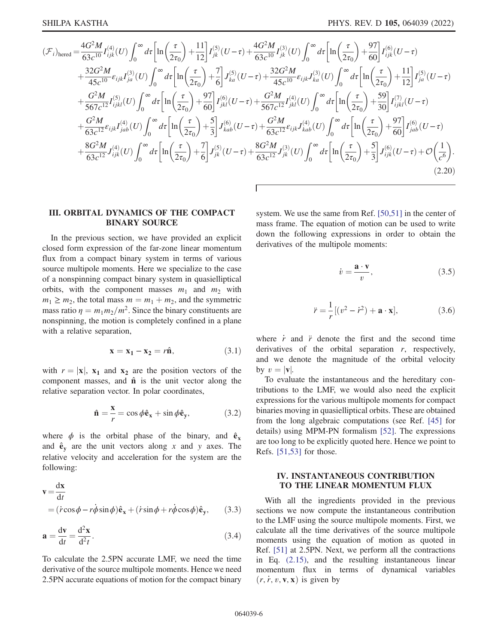<span id="page-5-3"></span>
$$
(\mathcal{F}_{i})_{\text{hered}} = \frac{4G^{2}M}{63c^{10}}I_{ijk}^{(4)}(U)\int_{0}^{\infty}d\tau\left[\ln\left(\frac{\tau}{2\tau_{0}}\right)+\frac{11}{12}\right]I_{jk}^{(5)}(U-\tau)+\frac{4G^{2}M}{63c^{10}}I_{jk}^{(3)}(U)\int_{0}^{\infty}d\tau\left[\ln\left(\frac{\tau}{2\tau_{0}}\right)+\frac{97}{60}\right]I_{ijk}^{(6)}(U-\tau) +\frac{32G^{2}M}{45c^{10}}\epsilon_{ijk}I_{ja}^{(3)}(U)\int_{0}^{\infty}d\tau\left[\ln\left(\frac{\tau}{2\tau_{0}}\right)+\frac{7}{6}\right]J_{ka}^{(5)}(U-\tau)+\frac{32G^{2}M}{45c^{10}}\epsilon_{ijk}J_{ka}^{(3)}(U)\int_{0}^{\infty}d\tau\left[\ln\left(\frac{\tau}{2\tau_{0}}\right)+\frac{11}{12}\right]I_{ja}^{(5)}(U-\tau) +\frac{G^{2}M}{567c^{12}}I_{ijkl}^{(5)}(U)\int_{0}^{\infty}d\tau\left[\ln\left(\frac{\tau}{2\tau_{0}}\right)+\frac{97}{60}\right]I_{jkl}^{(6)}(U-\tau)+\frac{G^{2}M}{567c^{12}}I_{jkl}^{(4)}(U)\int_{0}^{\infty}d\tau\left[\ln\left(\frac{\tau}{2\tau_{0}}\right)+\frac{59}{30}\right]I_{ijkl}^{(7)}(U-\tau) +\frac{G^{2}M}{63c^{12}}\epsilon_{ijk}I_{jab}^{(4)}(U)\int_{0}^{\infty}d\tau\left[\ln\left(\frac{\tau}{2\tau_{0}}\right)+\frac{5}{3}\right]J_{kab}^{(6)}(U-\tau)+\frac{G^{2}M}{63c^{12}}\epsilon_{ijk}J_{kab}^{(4)}(U)\int_{0}^{\infty}d\tau\left[\ln\left(\frac{\tau}{2\tau_{0}}\right)+\frac{97}{60}\right]I_{jab}^{(6)}(U-\tau) +\frac{8G^{2}M}{63c^{12}}J_{ijk}^{(4)}(U)\int_{0}^{\infty}
$$

Г

# <span id="page-5-0"></span>III. ORBITAL DYNAMICS OF THE COMPACT BINARY SOURCE

In the previous section, we have provided an explicit closed form expression of the far-zone linear momentum flux from a compact binary system in terms of various source multipole moments. Here we specialize to the case of a nonspinning compact binary system in quasielliptical orbits, with the component masses  $m_1$  and  $m_2$  with  $m_1 \ge m_2$ , the total mass  $m = m_1 + m_2$ , and the symmetric mass ratio  $\eta = m_1 m_2/m^2$ . Since the binary constituents are nonspinning, the motion is completely confined in a plane with a relative separation,

$$
\mathbf{x} = \mathbf{x}_1 - \mathbf{x}_2 = r\hat{\mathbf{n}},\tag{3.1}
$$

with  $r = |x|$ ,  $x_1$  and  $x_2$  are the position vectors of the component masses, and  $\hat{\bf{n}}$  is the unit vector along the relative separation vector. In polar coordinates,

$$
\hat{\mathbf{n}} = \frac{\mathbf{x}}{r} = \cos \phi \hat{\mathbf{e}}_{\mathbf{x}} + \sin \phi \hat{\mathbf{e}}_{\mathbf{y}},
$$
(3.2)

<span id="page-5-4"></span>where  $\phi$  is the orbital phase of the binary, and  $\hat{\mathbf{e}}_{\mathbf{x}}$ and  $\hat{\mathbf{e}}_{\mathbf{v}}$  are the unit vectors along x and y axes. The relative velocity and acceleration for the system are the following:

$$
\mathbf{v} = \frac{\mathrm{d}\mathbf{x}}{\mathrm{d}t}
$$
  
=  $(\dot{r}\cos\phi - r\dot{\phi}\sin\phi)\hat{\mathbf{e}}_{\mathbf{x}} + (\dot{r}\sin\phi + r\dot{\phi}\cos\phi)\hat{\mathbf{e}}_{\mathbf{y}},$  (3.3)

$$
\mathbf{a} = \frac{\mathrm{d}\mathbf{v}}{\mathrm{d}t} = \frac{\mathrm{d}^2\mathbf{x}}{\mathrm{d}^2t}.
$$
 (3.4)

To calculate the 2.5PN accurate LMF, we need the time derivative of the source multipole moments. Hence we need 2.5PN accurate equations of motion for the compact binary system. We use the same from Ref. [[50](#page-19-34),[51](#page-19-35)] in the center of mass frame. The equation of motion can be used to write down the following expressions in order to obtain the derivatives of the multipole moments:

$$
\dot{v} = \frac{\mathbf{a} \cdot \mathbf{v}}{v},\tag{3.5}
$$

$$
\ddot{r} = \frac{1}{r} \left[ (v^2 - \dot{r}^2) + \mathbf{a} \cdot \mathbf{x} \right],\tag{3.6}
$$

where  $\dot{r}$  and  $\ddot{r}$  denote the first and the second time derivatives of the orbital separation  $r$ , respectively, and we denote the magnitude of the orbital velocity by  $v = |v|$ .

To evaluate the instantaneous and the hereditary contributions to the LMF, we would also need the explicit expressions for the various multipole moments for compact binaries moving in quasielliptical orbits. These are obtained from the long algebraic computations (see Ref. [[45](#page-19-36)] for details) using MPM-PN formalism [[52](#page-20-0)]. The expressions are too long to be explicitly quoted here. Hence we point to Refs. [[51](#page-19-35),[53](#page-20-1)] for those.

## <span id="page-5-1"></span>IV. INSTANTANEOUS CONTRIBUTION TO THE LINEAR MOMENTUM FLUX

<span id="page-5-2"></span>With all the ingredients provided in the previous sections we now compute the instantaneous contribution to the LMF using the source multipole moments. First, we calculate all the time derivatives of the source multipole moments using the equation of motion as quoted in Ref. [[51](#page-19-35)] at 2.5PN. Next, we perform all the contractions in Eq. [\(2.15\)](#page-3-1), and the resulting instantaneous linear momentum flux in terms of dynamical variables  $(r, \dot{r}, v, v, x)$  is given by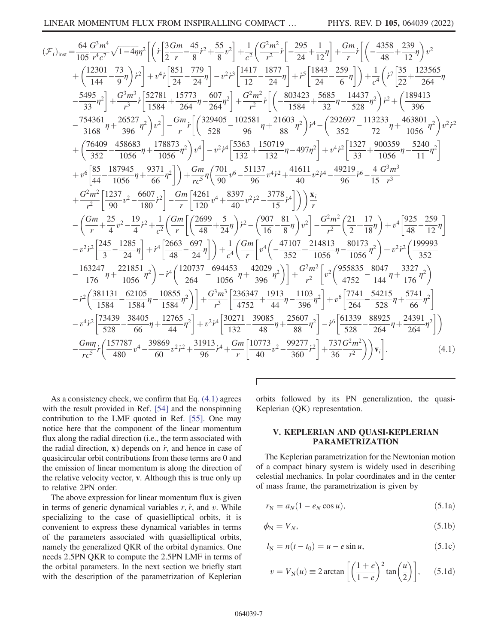$$
\begin{split} &(\mathcal{F}_{i})_{\text{inst}}=\frac{64}{105}\frac{G^{3}m^{4}}{r^{4}c^{7}}\sqrt{1-4\eta}\eta^{2}\bigg[\bigg(r\frac{3Gm}{2}\frac{45}{r}-\frac{45}{8}r^{2}+\frac{55}{8}v^{2}\bigg]+\frac{1}{c^{2}}\bigg(\frac{G^{2}m^{2}}{r^{2}}r\bigg[-\frac{295}{24}+\frac{1}{12}\eta\bigg]+\frac{Gm}{r}r\bigg[\bigg(-\frac{4358}{48}+\frac{239}{12}\eta\bigg)v^{2}\bigg] \\ &+\bigg(\frac{12301}{144}-\frac{73}{9}\eta\bigg)r^{2}\bigg]+v^{4}r\bigg[\frac{851}{24}-\frac{779}{24}\eta\bigg]-v^{2}r^{3}\bigg[\frac{1417}{12}-\frac{1877}{24}\eta\bigg]+\frac{1843}{72}-\frac{679}{6}\eta\bigg]\bigg)+\frac{1}{c^{4}}\bigg(r\bigg[\frac{73}{22}+\frac{123565}{264}\eta\bigg]\\ &-\frac{5495}{33}\eta^{2}\bigg]+\frac{G^{3}m^{3}}{r^{3}}\bigg[\frac{512781}{1584}+\frac{15773}{264}\eta-\frac{607}{264}\eta^{2}\bigg]+\frac{G^{2}m^{2}}{r^{2}}\bigg[\bigg(-\frac{803423}{1584}+\frac{536}{32}\eta-\frac{1433}{368}\eta^{2}\bigg)r^{2}+\bigg(\frac{189413}{396}-\frac{754361}{3168}\eta+\frac{26527}{396}\eta^{2}\bigg)v^{2}\bigg]-\frac{Gm}{r}r\bigg[\bigg(\frac{329405}{528}-\frac{102581}{96}\eta+\frac{21603}{88}\eta^{2}\bigg)r^{4}-\bigg(\frac{292697}{352}-\frac{113233}{72}\eta+\frac{463801}{1056}\eta^{2}\bigg)v^{2}\bigg] \\ &+\frac{r^{6}\bigg[\frac{85}{44}-\frac{187945}{10
$$

 $\Gamma$ 

As a consistency check, we confirm that Eq.  $(4.1)$  agrees with the result provided in Ref. [54] and the nonspinning contribution to the LMF quoted in Ref. [55]. One may notice here that the component of the linear momentum flux along the radial direction (i.e., the term associated with the radial direction,  $x$ ) depends on  $\dot{r}$ , and hence in case of quasicircular orbit contributions from these terms are 0 and the emission of linear momentum is along the direction of the relative velocity vector, v. Although this is true only up to relative 2PN order.

The above expression for linear momentum flux is given in terms of generic dynamical variables  $r, \dot{r}$ , and  $v$ . While specializing to the case of quasielliptical orbits, it is convenient to express these dynamical variables in terms of the parameters associated with quasielliptical orbits, namely the generalized OKR of the orbital dynamics. One needs 2.5PN QKR to compute the 2.5PN LMF in terms of the orbital parameters. In the next section we briefly start with the description of the parametrization of Keplerian orbits followed by its PN generalization, the quasi-Keplerian (QK) representation.

## <span id="page-6-0"></span>V. KEPLERIAN AND QUASI-KEPLERIAN **PARAMETRIZATION**

<span id="page-6-1"></span>The Keplerian parametrization for the Newtonian motion of a compact binary system is widely used in describing celestial mechanics. In polar coordinates and in the center of mass frame, the parametrization is given by

$$
r_N = a_N(1 - e_N \cos u),\tag{5.1a}
$$

$$
\phi_{\rm N} = V_N,\tag{5.1b}
$$

$$
l_{N} = n(t - t_{0}) = u - e \sin u,
$$
 (5.1c)

$$
v = V_{\rm N}(u) \equiv 2 \arctan\left[\left(\frac{1+e}{1-e}\right)^2 \tan\left(\frac{u}{2}\right)\right],\qquad(5.1d)
$$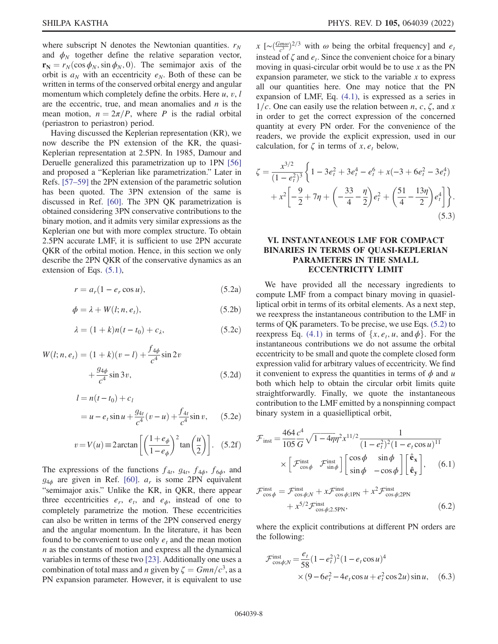where subscript N denotes the Newtonian quantities.  $r_N$ and  $\phi_N$  together define the relative separation vector,  $\mathbf{r}_N = r_N(\cos \phi_N, \sin \phi_N, 0)$ . The semimajor axis of the orbit is  $a_N$  with an eccentricity  $e_N$ . Both of these can be written in terms of the conserved orbital energy and angular momentum which completely define the orbits. Here  $u, v, l$ are the eccentric, true, and mean anomalies and  $n$  is the mean motion,  $n = 2\pi/P$ , where P is the radial orbital (periastron to periastron) period.

Having discussed the Keplerian representation (KR), we now describe the PN extension of the KR, the quasi-Keplerian representation at 2.5PN. In 1985, Damour and Deruelle generalized this parametrization up to 1PN [\[56\]](#page-20-4) and proposed a "Keplerian like parametrization." Later in Refs. [[57](#page-20-5)–[59\]](#page-20-6) the 2PN extension of the parametric solution has been quoted. The 3PN extension of the same is discussed in Ref. [\[60\]](#page-20-7). The 3PN QK parametrization is obtained considering 3PN conservative contributions to the binary motion, and it admits very similar expressions as the Keplerian one but with more complex structure. To obtain 2.5PN accurate LMF, it is sufficient to use 2PN accurate QKR of the orbital motion. Hence, in this section we only describe the 2PN QKR of the conservative dynamics as an extension of Eqs.  $(5.1)$ ,

<span id="page-7-1"></span>
$$
r = a_r(1 - e_r \cos u), \tag{5.2a}
$$

$$
\phi = \lambda + W(l; n, e_t),\tag{5.2b}
$$

$$
\lambda = (1 + k)n(t - t_0) + c_\lambda, \tag{5.2c}
$$

<span id="page-7-4"></span>
$$
W(l; n, e_t) = (1 + k)(v - l) + \frac{f_{4\phi}}{c^4} \sin 2v + \frac{g_{4\phi}}{c^4} \sin 3v,
$$
 (5.2d)

<span id="page-7-3"></span>
$$
l = n(t - t_0) + c_l
$$
  
=  $u - e_t \sin u + \frac{g_{4t}}{c^4} (v - u) + \frac{f_{4t}}{c^4} \sin v,$  (5.2e)

$$
v = V(u) \equiv 2\arctan\left[\left(\frac{1+e_{\phi}}{1-e_{\phi}}\right)^{2}\tan\left(\frac{u}{2}\right)\right].
$$
 (5.2f)

The expressions of the functions  $f_{4t}$ ,  $g_{4t}$ ,  $f_{4\phi}$ ,  $f_{6\phi}$ , and  $g_{4\phi}$  are given in Ref. [[60](#page-20-7)].  $a_r$  is some 2PN equivalent "semimajor axis." Unlike the KR, in QKR, there appear three eccentricities  $e_r$ ,  $e_t$ , and  $e_{\phi}$ , instead of one to completely parametrize the motion. These eccentricities can also be written in terms of the 2PN conserved energy and the angular momentum. In the literature, it has been found to be convenient to use only  $e_t$  and the mean motion  $n$  as the constants of motion and express all the dynamical variables in terms of these two [[23](#page-19-20)]. Additionally one uses a combination of total mass and *n* given by  $\zeta = Gmn/c^3$ , as a<br>PN expansion parameter. However, it is equivalent to use PN expansion parameter. However, it is equivalent to use

 $x \left[ \sim \frac{(Gm\omega)}{c^3} \right]^{2/3}$  with  $\omega$  being the orbital frequency] and  $e_t$ <br>instead of  $\zeta$  and  $\omega$ . Since the convenient choice for a binary instead of  $\zeta$  and  $e_t$ . Since the convenient choice for a binary moving in quasi-circular orbit would be to use  $x$  as the PN expansion parameter, we stick to the variable  $x$  to express all our quantities here. One may notice that the PN expansion of LMF, Eq. [\(4.1\),](#page-5-2) is expressed as a series in  $1/c$ . One can easily use the relation between n, c,  $\zeta$ , and x in order to get the correct expression of the concerned quantity at every PN order. For the convenience of the readers, we provide the explicit expression, used in our calculation, for  $\zeta$  in terms of x,  $e_t$  below,

$$
\zeta = \frac{x^{3/2}}{(1 - e_t^2)^3} \left\{ 1 - 3e_t^2 + 3e_t^4 - e_t^6 + x(-3 + 6e_t^2 - 3e_t^4) + x^2 \left[ -\frac{9}{2} + 7\eta + \left( -\frac{33}{4} - \frac{\eta}{2} \right) e_t^2 + \left( \frac{51}{4} - \frac{13\eta}{2} \right) e_t^4 \right] \right\}.
$$
\n(5.3)

# <span id="page-7-0"></span>VI. INSTANTANEOUS LMF FOR COMPACT BINARIES IN TERMS OF QUASI-KEPLERIAN PARAMETERS IN THE SMALL ECCENTRICITY LIMIT

We have provided all the necessary ingredients to compute LMF from a compact binary moving in quasielliptical orbit in terms of its orbital elements. As a next step, we reexpress the instantaneous contribution to the LMF in terms of QK parameters. To be precise, we use Eqs. [\(5.2\)](#page-7-1) to reexpress Eq. [\(4.1\)](#page-5-2) in terms of  $\{x, e_t, u, \text{ and } \phi\}$ . For the instantaneous contributions we do not assume the orbital eccentricity to be small and quote the complete closed form expression valid for arbitrary values of eccentricity. We find it convenient to express the quantities in terms of  $\phi$  and u both which help to obtain the circular orbit limits quite straightforwardly. Finally, we quote the instantaneous contribution to the LMF emitted by a nonspinning compact binary system in a quasielliptical orbit,

<span id="page-7-2"></span>
$$
\mathcal{F}_{\text{inst}} = \frac{464 \, c^4}{105 \, G} \sqrt{1 - 4\eta} \eta^2 x^{11/2} \frac{1}{(1 - e_t^2)^2 (1 - e_t \cos u)^{11}} \times \left[ \mathcal{F}_{\cos \phi}^{\text{inst}} \mathcal{F}_{\sin \phi}^{\text{inst}} \right] \begin{bmatrix} \cos \phi & \sin \phi \\ \sin \phi & -\cos \phi \end{bmatrix} \begin{bmatrix} \hat{\mathbf{e}}_{\mathbf{x}} \\ \hat{\mathbf{e}}_{\mathbf{y}} \end{bmatrix}, \quad (6.1)
$$

$$
\mathcal{F}_{\cos\phi}^{\text{inst}} = \mathcal{F}_{\cos\phi;N}^{\text{inst}} + x\mathcal{F}_{\cos\phi;1\text{PN}}^{\text{inst}} + x^2 \mathcal{F}_{\cos\phi;2\text{PN}}^{\text{inst}} + x^{5/2} \mathcal{F}_{\cos\phi;2\text{SN}},
$$
\n(6.2)

where the explicit contributions at different PN orders are the following:

$$
\mathcal{F}_{\cos\phi;N}^{\text{inst}} = \frac{e_t}{58} (1 - e_t^2)^2 (1 - e_t \cos u)^4
$$
  
× (9 - 6e\_t^2 - 4e\_t \cos u + e\_t^2 \cos 2u) \sin u, (6.3)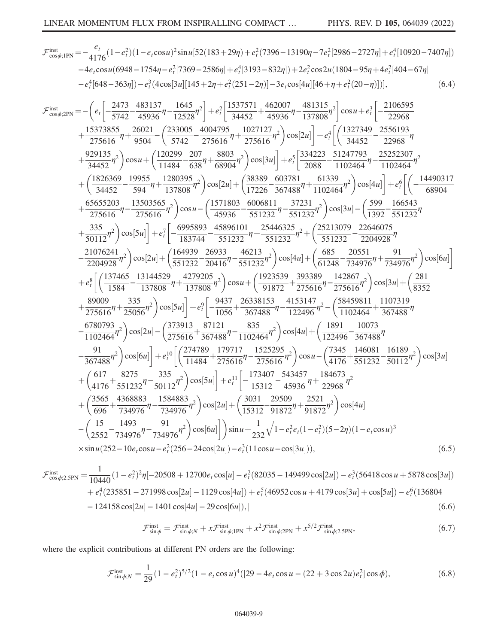$$
\mathcal{F}_{\cos\phi;HW}^{int} = -\frac{e_i}{4176}(1-e_i^2)(1-e_i\cos u)^2\sin u[52(183+29\eta)+e_i^2(7396-13190\eta-7e_i^2[2986-2727\eta]+e_i^4[10920-7407\eta])\n-4e_i\cos u(6948-1754\eta-e_i^2[7369-2586\eta]+e_i^4[3193-832\eta])+2e_i^2\cos 2u(1804-95\eta+4e_i^4[404-67\eta]\\-e_i^4[648-363\eta])-e_i^3(4\cos|3u|[145+2\eta+e_i^2(251-2\eta)]-3e_i\cos|4u|[46+\eta+e_i^2(20-\eta))]),\n(6.4)\n
$$
\mathcal{F}_{\cos\phi;NN}^{int} = -\left(e_i\left[-\frac{2473}{5742}-\frac{483137}{45936}\eta-\frac{1645}{12528}\eta^2\right]+e_i^2\left[\frac{1537571}{34452}+\frac{462007}{45936}\eta-\frac{481315}{137808}\eta^2\right]\cos u+e_i^2\left[-\frac{2106595}{22968}+25816\eta^2\right]\cos u+\left[\frac{210595}{275616}\eta^2\right]\cos u+\left[\frac{2120299}{275616}\eta^2\right]\cos u^2\right] +e_i^4\left[\left(\frac{1327449}{34452}-\frac{2556193}{275616}\eta^2\right]\cos u+\left(\frac{120299}{34452}-\frac{2076}{35618}\eta+\frac{8033}{68904}\eta^2\right)\cos|2u|\right] +e_i^4\left[\left(\frac{1327449}{34452}-\frac{2556193}{102464}\eta-\frac{2556193}{1102464}\eta^2\right]
$$
\n
$$
+\left(\frac{1826369}{34452}-\frac{19955}{5944}-\
$$
$$

$$
\mathcal{F}_{\cos\phi;2.5\text{PN}}^{\text{inst}} = \frac{1}{10440} (1 - e_t^2)^2 \eta [-20508 + 12700e_t \cos[u] - e_t^2 (82035 - 149499 \cos[2u]) - e_t^3 (56418 \cos u + 5878 \cos[3u]) \n+ e_t^4 (235851 - 271998 \cos[2u] - 1129 \cos[4u]) + e_t^5 (46952 \cos u + 4179 \cos[3u] + \cos[5u]) - e_t^6 (136804 \n- 124158 \cos[2u] - 1401 \cos[4u] - 29 \cos[6u]),
$$
\n(6.6)

$$
\mathcal{F}_{\sin\phi}^{\text{inst}} = \mathcal{F}_{\sin\phi;N}^{\text{inst}} + x\mathcal{F}_{\sin\phi;1\text{PN}}^{\text{inst}} + x^2 \mathcal{F}_{\sin\phi;2\text{PN}}^{\text{inst}} + x^{5/2} \mathcal{F}_{\sin\phi;2.5\text{PN}}^{\text{inst}}.
$$
(6.7)

where the explicit contributions at different PN orders are the following:

$$
\mathcal{F}_{\sin\phi;N}^{\text{inst}} = \frac{1}{29} (1 - e_t^2)^{5/2} (1 - e_t \cos u)^4 ([29 - 4e_t \cos u - (22 + 3\cos 2u)e_t^2] \cos \phi), \tag{6.8}
$$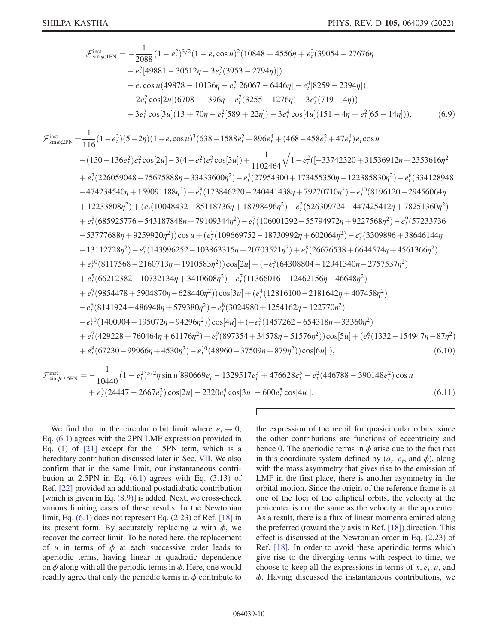$$
\mathcal{F}_{\text{sin}\phi;1\text{PN}}^{\text{inst}} = -\frac{1}{2088} (1 - e_7^2)^{3/2} (1 - e_7 \cos u)^2 (10848 + 4556\eta + e_7^2 (39054 - 27676\eta - e_7^2 [49881 - 30512\eta - 3e_7^2 (3953 - 2794\eta)])
$$
  
\n
$$
- e_7 \cos u (49878 - 10136\eta - e_7^2 [26067 - 6446\eta] - e_7^4 [8259 - 2394\eta])
$$
  
\n
$$
+ 2e_7^2 \cos[2u] (6708 - 1396\eta - e_7^2 (3255 - 1276\eta) - 3e_7^4 (719 - 4\eta))
$$
  
\n
$$
- 3e_7^3 \cos[3u] (13 + 70\eta - e_7^2 [589 + 22\eta]) - 3e_7^4 \cos[4u] (151 - 4\eta + e_7^2 [65 - 14\eta]) ),
$$
  
\n
$$
\mathcal{F}_{\text{sin}\phi;2\text{PN}}^{\text{inst}} = \frac{1}{116} (1 - e_7^2) (5 - 2\eta) (1 - e_7 \cos u)^3 (638 - 1588e_7^2 + 896e_7^4 + (468 - 458e_7^2 + 47e_7^4)e_7 \cos u
$$
  
\n
$$
- (130 - 136e_7^2)e_7^2 \cos[2u] - 3(4 - e_7^2)e_7^3 \cos[3u]) + \frac{1102464}{1102464} \sqrt{1 - e_7^2 ((-33742320 + 31536912\eta + 2353616\eta^2 + e_7^2 (226059048 - 75675888\eta - 33433600\eta^2) - e_7^4 (27954300 + 173455350\eta - 122385830\eta^2) - e_7^6 (334128948 - 474234540\eta + 1590
$$

$$
\mathcal{F}_{\sin\phi;2.5\text{PN}}^{\text{inst}} = -\frac{1}{10440} (1 - e_t^2)^{5/2} \eta \sin u [890669e_t - 1329517e_t^3 + 476628e_t^5 - e_t^2 (446788 - 390148e_t^2) \cos u + e_t^3 (24447 - 2667e_t^2) \cos[2u] - 2320e_t^4 \cos[3u] - 600e_t^5 \cos[4u]].
$$
\n(6.11)

 $\Gamma$ 

We find that in the circular orbit limit where  $e_t \rightarrow 0$ , Eq.  $(6.1)$  agrees with the 2PN LMF expression provided in Eq. (1) of  $[21]$  except for the 1.5PN term, which is a hereditary contribution discussed later in Sec. VII. We also confirm that in the same limit, our instantaneous contribution at  $2.5$ PN in Eq.  $(6.1)$  agrees with Eq.  $(3.13)$  of Ref. [22] provided an additional postadiabatic contribution [which is given in Eq. (8.9)] is added. Next, we cross-check various limiting cases of these results. In the Newtonian limit, Eq.  $(6.1)$  does not represent Eq.  $(2.23)$  of Ref.  $[18]$  in its present form. By accurately replacing u with  $\phi$ , we recover the correct limit. To be noted here, the replacement of u in terms of  $\phi$  at each successive order leads to aperiodic terms, having linear or quadratic dependence on  $\phi$  along with all the periodic terms in  $\phi$ . Here, one would readily agree that only the periodic terms in  $\phi$  contribute to the expression of the recoil for quasicircular orbits, since the other contributions are functions of eccentricity and hence 0. The aperiodic terms in  $\phi$  arise due to the fact that in this coordinate system defined by  $(a_r, e_t,$  and  $\phi)$ , along with the mass asymmetry that gives rise to the emission of LMF in the first place, there is another asymmetry in the orbital motion. Since the origin of the reference frame is at one of the foci of the elliptical orbits, the velocity at the pericenter is not the same as the velocity at the apocenter. As a result, there is a flux of linear momenta emitted along the preferred (toward the  $y$  axis in Ref. [18]) direction. This effect is discussed at the Newtonian order in Eq. (2.23) of Ref. [18]. In order to avoid these aperiodic terms which give rise to the diverging terms with respect to time, we choose to keep all the expressions in terms of  $x, e_t, u$ , and  $\phi$ . Having discussed the instantaneous contributions, we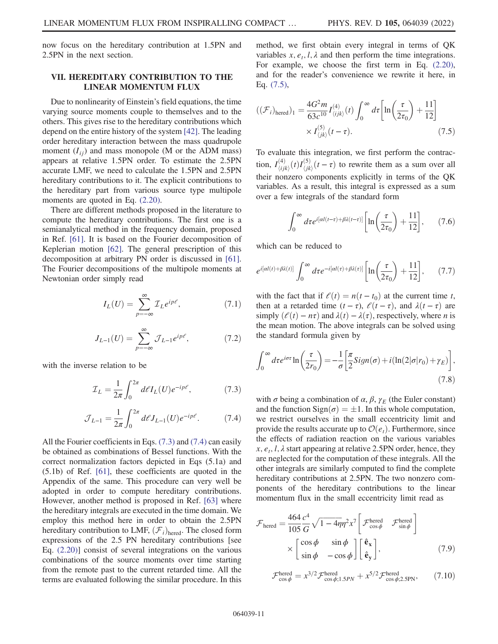now focus on the hereditary contribution at 1.5PN and 2.5PN in the next section.

## <span id="page-10-0"></span>VII. HEREDITARY CONTRIBUTION TO THE LINEAR MOMENTUM FLUX

Due to nonlinearity of Einstein's field equations, the time varying source moments couple to themselves and to the others. This gives rise to the hereditary contributions which depend on the entire history of the system [\[42\]](#page-19-37). The leading order hereditary interaction between the mass quadrupole moment  $(I_{ii})$  and mass monopole (M or the ADM mass) appears at relative 1.5PN order. To estimate the 2.5PN accurate LMF, we need to calculate the 1.5PN and 2.5PN hereditary contributions to it. The explicit contributions to the hereditary part from various source type multipole moments are quoted in Eq. [\(2.20\).](#page-5-3)

There are different methods proposed in the literature to compute the hereditary contributions. The first one is a semianalytical method in the frequency domain, proposed in Ref. [[61](#page-20-8)]. It is based on the Fourier decomposition of Keplerian motion [[62](#page-20-9)]. The general prescription of this decomposition at arbitrary PN order is discussed in [[61](#page-20-8)]. The Fourier decompositions of the multipole moments at Newtonian order simply read

$$
I_L(U) = \sum_{p=-\infty}^{\infty} \mathcal{I}_L e^{ip\ell},\tag{7.1}
$$

$$
J_{L-1}(U) = \sum_{p=-\infty}^{\infty} \mathcal{J}_{L-1} e^{ip\ell},
$$
 (7.2)

<span id="page-10-2"></span><span id="page-10-1"></span>with the inverse relation to be

$$
\mathcal{I}_L = \frac{1}{2\pi} \int_0^{2\pi} d\ell I_L(U) e^{-ip\ell},\tag{7.3}
$$

$$
\mathcal{J}_{L-1} = \frac{1}{2\pi} \int_0^{2\pi} d\ell J_{L-1}(U) e^{-ip\ell}.
$$
 (7.4)

All the Fourier coefficients in Eqs. [\(7.3\)](#page-10-1) and [\(7.4\)](#page-10-2) can easily be obtained as combinations of Bessel functions. With the correct normalization factors depicted in Eqs (5.1a) and (5.1b) of Ref. [\[61\]](#page-20-8), these coefficients are quoted in the Appendix of the same. This procedure can very well be adopted in order to compute hereditary contributions. However, another method is proposed in Ref. [\[63\]](#page-20-10) where the hereditary integrals are executed in the time domain. We employ this method here in order to obtain the 2.5PN hereditary contribution to LMF,  $(\mathcal{F}_i)_{\text{hered}}$ . The closed form expressions of the 2.5 PN hereditary contributions [see Eq. [\(2.20\)\]](#page-5-3) consist of several integrations on the various combinations of the source moments over time starting from the remote past to the current retarded time. All the terms are evaluated following the similar procedure. In this method, we first obtain every integral in terms of QK variables  $x, e_t, l, \lambda$  and then perform the time integrations. For example, we choose the first term in Eq. [\(2.20\)](#page-5-3), and for the reader's convenience we rewrite it here, in Eq. [\(7.5\),](#page-10-3)

<span id="page-10-3"></span>
$$
((\mathcal{F}_i)_{\text{hered}})_1 = \frac{4G^2 m}{63c^{10}} I_{\langle ijk \rangle}^{(4)}(t) \int_0^\infty d\tau \left[ \ln \left( \frac{\tau}{2\tau_0} \right) + \frac{11}{12} \right] \times I_{\langle jk \rangle}^{(5)}(t-\tau). \tag{7.5}
$$

To evaluate this integration, we first perform the contraction,  $I_{\langle ij\rangle}^{(4)}$  $\frac{d^{(4)}}{\langle ijk \rangle}(t)I^{(5)}_{\langle jk \rangle}$  $\frac{\partial f}{\partial k}$  (*t* − *τ*) to rewrite them as a sum over all their nonzero components explicitly in terms of the QK variables. As a result, this integral is expressed as a sum over a few integrals of the standard form

$$
\int_0^\infty d\tau e^{i\left[\alpha l(t-\tau)+\beta\lambda(t-\tau)\right]}\left[\ln\left(\frac{\tau}{2\tau_0}\right)+\frac{11}{12}\right],\qquad(7.6)
$$

which can be reduced to

$$
e^{i[aI(t)+\beta\lambda(t)]}\int_0^\infty d\tau e^{-i[aI(\tau)+\beta\lambda(\tau)]}\left[\ln\left(\frac{\tau}{2\tau_0}\right)+\frac{11}{12}\right],\qquad(7.7)
$$

with the fact that if  $l(t) = n(t - t_0)$  at the current time t, then at a retarded time  $(t - \tau)$ ,  $\ell(t - \tau)$ , and  $\lambda(t - \tau)$  are simply  $(\ell(t) - n\tau)$  and  $\lambda(t) - \lambda(\tau)$ , respectively, where *n* is the mean motion. The above integrals can be solved using the standard formula given by

$$
\int_0^\infty d\tau e^{i\sigma\tau} \ln\left(\frac{\tau}{2r_0}\right) = -\frac{1}{\sigma} \left[ \frac{\pi}{2} \text{Sign}(\sigma) + i(\ln(2|\sigma|r_0) + \gamma_E) \right],\tag{7.8}
$$

with  $\sigma$  being a combination of  $\alpha$ ,  $\beta$ ,  $\gamma_E$  (the Euler constant) and the function  $Sign(\sigma) = \pm 1$ . In this whole computation, we restrict ourselves in the small eccentricity limit and provide the results accurate up to  $\mathcal{O}(e_t)$ . Furthermore, since the effects of radiation reaction on the various variables  $x, e_t, l, \lambda$  start appearing at relative 2.5PN order, hence, they are neglected for the computation of these integrals. All the other integrals are similarly computed to find the complete hereditary contributions at 2.5PN. The two nonzero components of the hereditary contributions to the linear momentum flux in the small eccentricity limit read as

<span id="page-10-4"></span>
$$
\mathcal{F}_{\text{hered}} = \frac{464 \, c^4}{105 \, G} \sqrt{1 - 4\eta} \eta^2 x^7 \left[ \mathcal{F}_{\cos \phi}^{\text{hered}} \mathcal{F}_{\sin \phi}^{\text{hered}} \right]
$$

$$
\times \begin{bmatrix} \cos \phi & \sin \phi \\ \sin \phi & -\cos \phi \end{bmatrix} \begin{bmatrix} \hat{\mathbf{e}}_{\mathbf{x}} \\ \hat{\mathbf{e}}_{\mathbf{y}} \end{bmatrix}, \tag{7.9}
$$

$$
\mathcal{F}_{\cos\phi}^{\text{hered}} = x^{3/2} \mathcal{F}_{\cos\phi;1.5PN}^{\text{hered}} + x^{5/2} \mathcal{F}_{\cos\phi;2.5PN}^{\text{hered}},\tag{7.10}
$$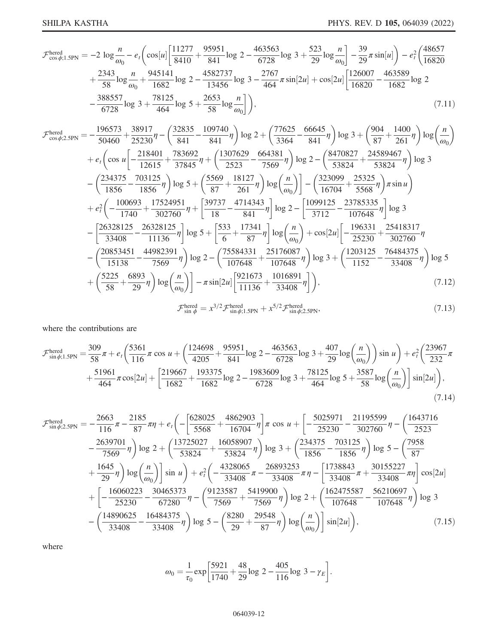$$
\mathcal{F}_{\cos\phi;1.5\text{PN}}^{\text{hered}} = -2 \log \frac{n}{\omega_0} - e_t \left( \cos[u] \left[ \frac{11277}{8410} + \frac{95951}{841} \log 2 - \frac{463563}{6728} \log 3 + \frac{523}{29} \log \frac{n}{\omega_0} \right] - \frac{39}{29} \pi \sin[u] \right) - e_t^2 \left( \frac{48657}{16820} + \frac{2343}{58} \log \frac{n}{\omega_0} + \frac{945141}{1682} \log 2 - \frac{4582737}{13456} \log 3 - \frac{2767}{464} \pi \sin[2u] + \cos[2u] \left[ \frac{126007}{16820} - \frac{463589}{1682} \log 2 - \frac{388557}{6728} \log 3 + \frac{78125}{464} \log 5 + \frac{2653}{58} \log \frac{n}{\omega_0} \right] \right),
$$
\n(7.11)

$$
\mathcal{F}_{\cos\phi,2.5PN}^{\text{hered}} = -\frac{196573}{50460} + \frac{38917}{25230}\eta - \left(\frac{32835}{841} - \frac{109740}{841}\eta\right)\log 2 + \left(\frac{77625}{3364} - \frac{66645}{841}\eta\right)\log 3 + \left(\frac{904}{87} + \frac{1400}{261}\eta\right)\log \left(\frac{n}{\omega_0}\right)
$$
  
+  $e_t\left(\cos u \left[-\frac{218401}{12615} + \frac{783692}{37845}\eta + \left(\frac{1307629}{2523} - \frac{664381}{7569}\eta\right)\log 2 - \left(\frac{8470827}{53824} + \frac{24589467}{53824}\eta\right)\log 3 - \left(\frac{234375}{1856} - \frac{703125}{1856}\eta\right)\log 5 + \left(\frac{5569}{87} + \frac{18127}{261}\eta\right)\log \left(\frac{n}{\omega_0}\right)\right] - \left(\frac{323099}{16704} + \frac{25325}{5568}\eta\right)\pi \sin u$   
+  $e_t^2\left(-\frac{100693}{1740} + \frac{17524951}{302760}\eta + \left[\frac{39737}{18} - \frac{4714343}{841}\eta\right]\log 2 - \left[\frac{1099125}{3712} - \frac{23785335}{107648}\eta\right]\log 3 - \left[\frac{26328125}{33408} - \frac{26328125}{11136}\eta\right]\log 5 + \left[\frac{533}{6} + \frac{17341}{87}\eta\right]\log \left(\frac{n}{\omega_0}\right) + \cos[2u]\left[-\frac{196331}{25230} + \frac{25418317}{302760}\eta\right]$   
-  $\left(\frac{20853451}{15138} - \frac{44982391}{7$ 

$$
\mathcal{F}_{\sin \phi}^{\text{hered}} = x^{3/2} \mathcal{F}_{\sin \phi; 1.5\text{PN}}^{\text{hered}} + x^{5/2} \mathcal{F}_{\sin \phi; 2.5\text{PN}}^{\text{hered}},\tag{7.13}
$$

where the contributions are

$$
\mathcal{F}_{\sin\phi;1.5\text{PN}}^{\text{hered}} = \frac{309}{58}\pi + e_t \left(\frac{5361}{116}\pi\cos u + \left(\frac{124698}{4205} + \frac{95951}{841}\log 2 - \frac{463563}{6728}\log 3 + \frac{407}{29}\log\left(\frac{n}{\omega_0}\right)\right)\sin u\right) + e_t^2 \left(\frac{23967}{232}\pi\right) + \frac{51961}{464}\pi\cos[2u] + \left[\frac{219667}{1682} + \frac{193375}{1682}\log 2 - \frac{1983609}{6728}\log 3 + \frac{78125}{464}\log 5 + \frac{3587}{58}\log\left(\frac{n}{\omega_0}\right)\right]\sin[2u]\right),\tag{7.14}
$$

$$
\mathcal{F}_{\sin\phi;2.5\text{PN}}^{\text{hered}} = -\frac{2663}{116}\pi - \frac{2185}{87}\pi\eta + e_t \left(-\left[\frac{628025}{5568} + \frac{4862903}{16704}\eta\right] \pi \cos u + \left[-\frac{5025971}{25230} - \frac{21195599}{302760}\eta - \left(\frac{1643716}{2523}\right)\right] \pi - \frac{2639701}{7569}\eta\right) \log 2 + \left(\frac{13725027}{53824} + \frac{16058907}{53824}\eta\right) \log 3 + \left(\frac{234375}{1856} - \frac{703125}{1856}\eta\right) \log 5 - \left(\frac{7958}{87}\right) \pi + \frac{1645}{29}\eta\right) \log\left(\frac{n}{\omega_0}\right) \sin u\right) + e_t^2 \left(-\frac{4328065}{33408}\pi - \frac{26893253}{33408}\pi\eta - \left[\frac{1738843}{33408}\pi + \frac{30155227}{33408}\pi\eta\right] \cos[2u] + \left[-\frac{16060223}{25230} - \frac{30465373}{67280}\eta - \left(\frac{9123587}{7569} + \frac{5419900}{7569}\eta\right) \log 2 + \left(\frac{162475587}{107648} - \frac{56210697}{107648}\eta\right) \log 3 - \left(\frac{14890625}{33408} - \frac{16484375}{33408}\eta\right) \log 5 - \left(\frac{8280}{29} + \frac{29548}{87}\eta\right) \log\left(\frac{n}{\omega_0}\right) \sin[2u]\right), \tag{7.15}
$$

where

$$
\omega_0 = \frac{1}{\tau_0} \exp\left[\frac{5921}{1740} + \frac{48}{29} \log 2 - \frac{405}{116} \log 3 - \gamma_E\right].
$$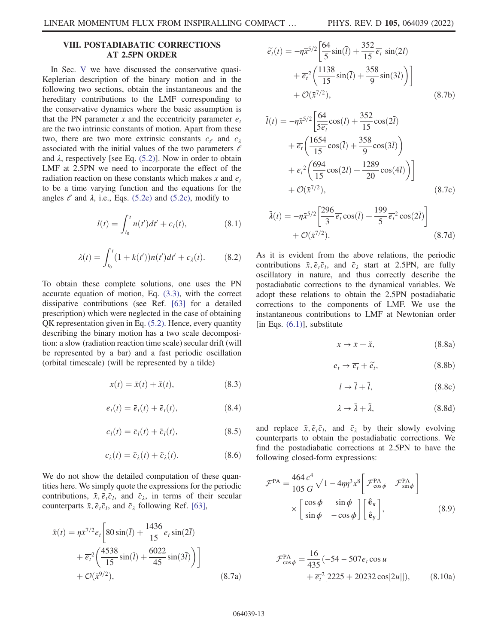# <span id="page-12-0"></span>VIII. POSTADIABATIC CORRECTIONS AT 2.5PN ORDER

In Sec. [V](#page-6-0) we have discussed the conservative quasi-Keplerian description of the binary motion and in the following two sections, obtain the instantaneous and the hereditary contributions to the LMF corresponding to the conservative dynamics where the basic assumption is that the PN parameter x and the eccentricity parameter  $e_t$ are the two intrinsic constants of motion. Apart from these two, there are two more extrinsic constants  $c_e$  and  $c_\lambda$ associated with the initial values of the two parameters  $\ell$ and  $\lambda$ , respectively [see Eq. [\(5.2\)\]](#page-7-1). Now in order to obtain LMF at 2.5PN we need to incorporate the effect of the radiation reaction on these constants which makes x and  $e_t$ to be a time varying function and the equations for the angles  $\ell$  and  $\lambda$ , i.e., Eqs. [\(5.2e\)](#page-7-3) and [\(5.2c\),](#page-7-4) modify to

$$
l(t) = \int_{t_0}^{t} n(t')dt' + c_l(t),
$$
 (8.1)

$$
\lambda(t) = \int_{t_0}^t (1 + k(t'))n(t')dt' + c_{\lambda}(t). \tag{8.2}
$$

To obtain these complete solutions, one uses the PN accurate equation of motion, Eq. [\(3.3\),](#page-5-4) with the correct dissipative contributions (see Ref. [\[63\]](#page-20-10) for a detailed prescription) which were neglected in the case of obtaining QK representation given in Eq. [\(5.2\).](#page-7-1) Hence, every quantity describing the binary motion has a two scale decomposition: a slow (radiation reaction time scale) secular drift (will be represented by a bar) and a fast periodic oscillation (orbital timescale) (will be represented by a tilde)

$$
x(t) = \bar{x}(t) + \tilde{x}(t),
$$
\n(8.3)

$$
e_t(t) = \bar{e}_t(t) + \tilde{e}_t(t), \qquad (8.4)
$$

$$
c_l(t) = \bar{c}_l(t) + \tilde{c}_l(t), \qquad (8.5)
$$

$$
c_{\lambda}(t) = \bar{c}_{\lambda}(t) + \tilde{c}_{\lambda}(t). \tag{8.6}
$$

We do not show the detailed computation of these quantities here. We simply quote the expressions for the periodic contributions,  $\tilde{x}, \tilde{e}_t \tilde{c}_l$ , and  $\tilde{c}_\lambda$ , in terms of their secular counterparts  $\bar{x}, \bar{e}_t\bar{c}_l$ , and  $\bar{c}_\lambda$  following Ref. [[63](#page-20-10)],

$$
\tilde{x}(t) = \eta \bar{x}^{7/2} \overline{e_t} \left[ 80 \sin(\overline{l}) + \frac{1436}{15} \overline{e_t} \sin(2\overline{l}) + \overline{e_t}^2 \left( \frac{4538}{15} \sin(\overline{l}) + \frac{6022}{45} \sin(3\overline{l}) \right) \right] + \mathcal{O}(\bar{x}^{9/2}),
$$
\n(8.7a)

$$
\widetilde{e}_t(t) = -\eta \overline{x}^{5/2} \left[ \frac{64}{5} \sin(\overline{l}) + \frac{352}{15} \overline{e_t} \sin(2\overline{l}) + \overline{e_t}^2 \left( \frac{1138}{15} \sin(\overline{l}) + \frac{358}{9} \sin(3\overline{l}) \right) \right] + \mathcal{O}(\overline{x}^{7/2}),
$$
\n(8.7b)

$$
\tilde{l}(t) = -\eta \bar{x}^{5/2} \left[ \frac{64}{5\overline{e_t}} \cos(\overline{l}) + \frac{352}{15} \cos(2\overline{l}) + \overline{e_t} \left( \frac{1654}{15} \cos(\overline{l}) + \frac{358}{9} \cos(3\overline{l}) \right) + \overline{e_t}^2 \left( \frac{694}{15} \cos(2\overline{l}) + \frac{1289}{20} \cos(4\overline{l}) \right) \right] + \mathcal{O}(\bar{x}^{7/2}),
$$
\n(8.7c)

$$
\tilde{\lambda}(t) = -\eta \bar{x}^{5/2} \left[ \frac{296}{3} \overline{e_t} \cos(\bar{t}) + \frac{199}{5} \overline{e_t}^2 \cos(2\bar{t}) \right] + \mathcal{O}(\bar{x}^{7/2}).
$$
\n(8.7d)

As it is evident from the above relations, the periodic contributions  $\tilde{x}, \tilde{e}_t \tilde{c}_t$ , and  $\tilde{c}_\lambda$  start at 2.5PN, are fully oscillatory in nature, and thus correctly describe the postadiabatic corrections to the dynamical variables. We adopt these relations to obtain the 2.5PN postadiabatic corrections to the components of LMF. We use the instantaneous contributions to LMF at Newtonian order [in Eqs.  $(6.1)$ ], substitute

$$
x \to \bar{x} + \tilde{x}, \tag{8.8a}
$$

$$
e_t \to \overline{e_t} + \widetilde{e_t}, \tag{8.8b}
$$

$$
l \to \bar{l} + \tilde{l}, \qquad (8.8c)
$$

$$
\lambda \to \bar{\lambda} + \tilde{\lambda},\tag{8.8d}
$$

<span id="page-12-1"></span>and replace  $\tilde{x}, \tilde{e}_t \tilde{c}_t$ , and  $\tilde{c}_\lambda$  by their slowly evolving counterparts to obtain the postadiabatic corrections. We find the postadiabatic corrections at 2.5PN to have the following closed-form expressions:

$$
\mathcal{F}^{\text{PA}} = \frac{464}{105} \frac{c^4}{G} \sqrt{1 - 4\eta} \eta^3 x^8 \left[ \mathcal{F}_{\cos \phi}^{\text{PA}} \mathcal{F}_{\sin \phi}^{\text{PA}} \right] \times \begin{bmatrix} \cos \phi & \sin \phi \\ \sin \phi & -\cos \phi \end{bmatrix} \begin{bmatrix} \hat{\mathbf{e}}_{\mathbf{x}} \\ \hat{\mathbf{e}}_{\mathbf{y}} \end{bmatrix},
$$
(8.9)

$$
\mathcal{F}_{\cos\phi}^{\text{PA}} = \frac{16}{435} (-54 - 507 \overline{e_t} \cos u \n+ \overline{e_t}^2 [2225 + 20232 \cos[2u]]), \qquad (8.10a)
$$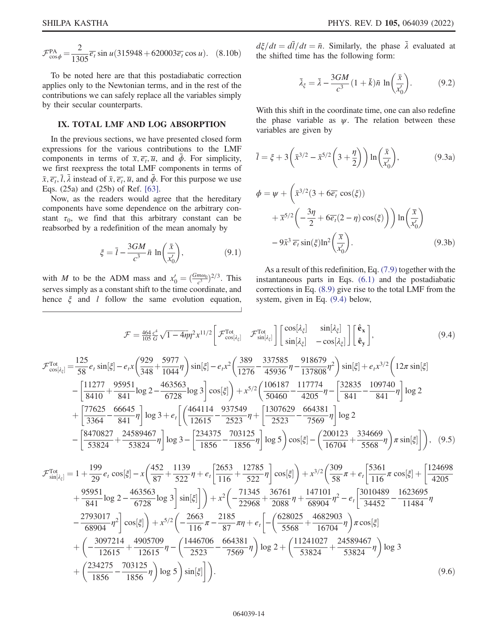$\mathcal{F}_{\cos\phi}^{\text{PA}} = \frac{2}{1305} \overline{e_t} \sin u (315948 + 620003 \overline{e_t} \cos u).$  (8.10b)

To be noted here are that this postadiabatic correction applies only to the Newtonian terms, and in the rest of the contributions we can safely replace all the variables simply by their secular counterparts.

### <span id="page-13-0"></span>IX. TOTAL LMF AND LOG ABSORPTION

In the previous sections, we have presented closed form expressions for the various contributions to the LMF components in terms of  $\overline{x}, \overline{e_t}, \overline{u}$ , and  $\phi$ . For simplicity, we first reexpress the total LMF components in terms of  $\bar{x}, \overline{e_t}, \overline{l}, \overline{\lambda}$  instead of  $\bar{x}, \overline{e_t}, \overline{u}$ , and  $\overline{\phi}$ . For this purpose we use Eqs. (25a) and (25b) of Ref. [\[63\]](#page-20-10).

Now, as the readers would agree that the hereditary components have some dependence on the arbitrary constant  $\tau_0$ , we find that this arbitrary constant can be reabsorbed by a redefinition of the mean anomaly by

$$
\xi = \bar{l} - \frac{3GM}{c^3} \bar{n} \ln\left(\frac{\bar{x}}{x'_0}\right),\tag{9.1}
$$

with *M* to be the ADM mass and  $x'_0 = \left(\frac{Gm\omega_0}{c^3}\right)^{2/3}$ . This serves simply as a constant shift to the time coordinate, and hence  $\xi$  and *l* follow the same evolution equation,

 $d\xi/dt = d\bar{l}/dt = \bar{n}$ . Similarly, the phase  $\bar{\lambda}$  evaluated at the shifted time has the following form: the shifted time has the following form:

$$
\bar{\lambda}_{\xi} = \bar{\lambda} - \frac{3GM}{c^3} (1 + \bar{k}) \bar{n} \ln \left( \frac{\bar{x}}{x'_0} \right). \tag{9.2}
$$

With this shift in the coordinate time, one can also redefine the phase variable as  $\psi$ . The relation between these variables are given by

$$
\overline{l} = \xi + 3\left(\overline{x}^{3/2} - \overline{x}^{5/2}\left(3 + \frac{\eta}{2}\right)\right) \ln\left(\frac{\overline{x}}{x_0'}\right),\tag{9.3a}
$$

$$
\phi = \psi + \left(\bar{x}^{3/2} (3 + 6\overline{e_t} \cos(\xi))\right)
$$

$$
+ \bar{x}^{5/2} \left(-\frac{3\eta}{2} + 6\overline{e_t} (2 - \eta) \cos(\xi)\right) \ln\left(\frac{\overline{x}}{x'_0}\right)
$$

$$
- 9\bar{x}^3 \overline{e_t} \sin(\xi) \ln^2\left(\frac{\overline{x}}{x'_0}\right). \tag{9.3b}
$$

As a result of this redefinition, Eq. [\(7.9\)](#page-10-4) together with the instantaneous parts in Eqs. [\(6.1\)](#page-7-2) and the postadiabatic corrections in Eq. [\(8.9\)](#page-12-1) give rise to the total LMF from the system, given in Eq. [\(9.4\)](#page-13-1) below,

<span id="page-13-1"></span>
$$
\mathcal{F} = \frac{464}{105} \frac{c^4}{G} \sqrt{1 - 4\eta} \eta^2 x^{11/2} \left[ \mathcal{F}_{\cos[\lambda_{\xi}]}^{\text{Tot}} - \mathcal{F}_{\sin[\lambda_{\xi}]}^{\text{Tot}} \right] \left[ \frac{\cos[\lambda_{\xi}]}{\sin[\lambda_{\xi}]} - \cos[\lambda_{\xi}] \right] \left[ \frac{\hat{\mathbf{e}}_x}{\hat{\mathbf{e}}_y} \right],
$$
(9.4)  

$$
\mathcal{F}_{\cos[\lambda_{\xi}]}^{\text{Tot}} = \frac{125}{58} e_t \sin[\xi] - e_t x \left( \frac{929}{348} + \frac{5977}{1044} \eta \right) \sin[\xi] - e_t x^2 \left( \frac{389}{1276} - \frac{337585}{45936} \eta - \frac{918679}{137808} \eta^2 \right) \sin[\xi] + e_t x^{3/2} \left( 12\pi \sin[\xi] - \left[ \frac{11277}{8410} + \frac{95951}{841} \log 2 - \frac{463563}{6728} \log 3 \right] \cos[\xi] \right) + x^{5/2} \left( \frac{106187}{50460} - \frac{117774}{4205} \eta - \left[ \frac{32835}{841} - \frac{109740}{841} \eta \right] \log 2 + \left[ \frac{77625}{3364} - \frac{66645}{841} \eta \right] \log 3 + e_t \left[ \left( \frac{464114}{12615} - \frac{937549}{2523} \eta + \left[ \frac{1307629}{2523} - \frac{664381}{7569} \eta \right] \log 2 \right]
$$
(9.2)

$$
-\left[\frac{8470827}{53824} + \frac{24589467}{53824}\eta\right] \log 3 - \left[\frac{234375}{1856} - \frac{703125}{1856}\eta\right] \log 5\right) \cos[\xi] - \left(\frac{200123}{16704} + \frac{334669}{5568}\eta\right) \pi \sin[\xi]\bigg], \quad (9.5)
$$

$$
\mathcal{F}_{\sin[\lambda_{\xi}]}^{\text{Tot}} = 1 + \frac{199}{29} e_t \cos[\xi] - x \left(\frac{452}{87} + \frac{1139}{522} \eta + e_t \left[\frac{2653}{116} + \frac{12785}{522} \eta\right] \cos[\xi]\right) + x^{3/2} \left(\frac{309}{58} \pi + e_t \left[\frac{5361}{116} \pi \cos[\xi] + \left[\frac{124698}{4205} + \frac{95951}{841} \log 2 - \frac{463563}{6728} \log 3\right] \sin[\xi]\right)\right) + x^2 \left(-\frac{71345}{22968} + \frac{36761}{2088} \eta + \frac{147101}{68904} \eta^2 - e_t \left[\frac{3010489}{34452} - \frac{1623695}{11484} \eta\right]\right) \cos[\xi] + x^{5/2} \left(-\frac{2663}{116} \pi - \frac{2185}{87} \pi \eta + e_t \left[-\left(\frac{628025}{5568} + \frac{4682903}{16704} \eta\right) \pi \cos[\xi]\right)\right] + \left(-\frac{3097214}{12615} + \frac{4905709}{12615} \eta - \left(\frac{1446706}{2523} - \frac{664381}{7569} \eta\right) \log 2 + \left(\frac{11241027}{53824} + \frac{24589467}{53824} \eta\right) \log 3 + \left(\frac{234275}{1856} - \frac{703125}{1856} \eta\right) \log 5\right) \sin[\xi]\right).
$$
\n(9.6)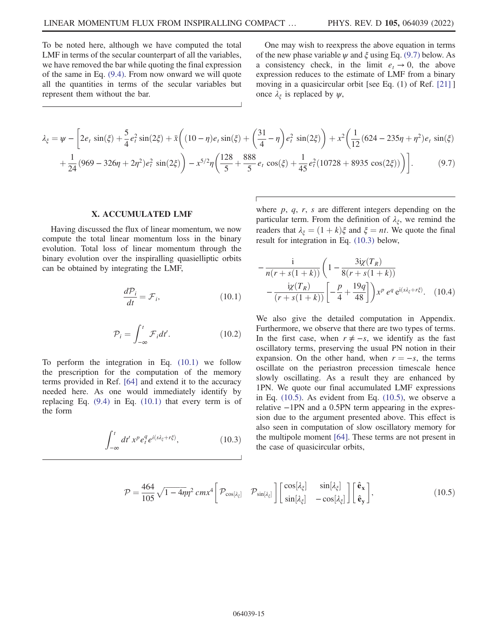To be noted here, although we have computed the total LMF in terms of the secular counterpart of all the variables, we have removed the bar while quoting the final expression of the same in Eq. [\(9.4\).](#page-13-1) From now onward we will quote all the quantities in terms of the secular variables but represent them without the bar.

One may wish to reexpress the above equation in terms of the new phase variable  $\psi$  and  $\xi$  using Eq. [\(9.7\)](#page-14-1) below. As a consistency check, in the limit  $e_t \to 0$ , the above expression reduces to the estimate of LMF from a binary moving in a quasicircular orbit [see Eq. (1) of Ref. [[21](#page-19-18)] ] once  $\lambda_{\xi}$  is replaced by  $\psi$ ,

<span id="page-14-1"></span>
$$
\lambda_{\xi} = \psi - \left[ 2e_t \sin(\xi) + \frac{5}{4} e_t^2 \sin(2\xi) + \bar{x} \left( (10 - \eta)e_t \sin(\xi) + \left( \frac{31}{4} - \eta \right) e_t^2 \sin(2\xi) \right) + x^2 \left( \frac{1}{12} (624 - 235\eta + \eta^2) e_t \sin(\xi) + \frac{1}{24} (969 - 326\eta + 2\eta^2) e_t^2 \sin(2\xi) \right) - x^{5/2} \eta \left( \frac{128}{5} + \frac{888}{5} e_t \cos(\xi) + \frac{1}{45} e_t^2 (10728 + 8935 \cos(2\xi)) \right) \right].
$$
\n(9.7)

## X. ACCUMULATED LMF

<span id="page-14-2"></span><span id="page-14-0"></span>Having discussed the flux of linear momentum, we now compute the total linear momentum loss in the binary evolution. Total loss of linear momentum through the binary evolution over the inspiralling quasielliptic orbits can be obtained by integrating the LMF,

$$
\frac{d\mathcal{P}_i}{dt} = \mathcal{F}_i,\tag{10.1}
$$

$$
\mathcal{P}_i = \int_{-\infty}^t \mathcal{F}_i dt'.
$$
 (10.2)

<span id="page-14-3"></span>To perform the integration in Eq. [\(10.1\)](#page-14-2) we follow the prescription for the computation of the memory terms provided in Ref. [[64](#page-20-11)] and extend it to the accuracy needed here. As one would immediately identify by replacing Eq. [\(9.4\)](#page-13-1) in Eq. [\(10.1\)](#page-14-2) that every term is of the form

<span id="page-14-4"></span>
$$
\int_{-\infty}^{t} dt' \, x^p \, e_t^q e^{i(s\lambda_\xi + r\xi)}, \tag{10.3}
$$

where  $p$ ,  $q$ ,  $r$ ,  $s$  are different integers depending on the particular term. From the definition of  $\lambda_{\xi}$ , we remind the readers that  $\lambda_{\xi} = (1 + k)\xi$  and  $\xi = nt$ . We quote the final result for integration in Eq. [\(10.3\)](#page-14-3) below,

<span id="page-14-5"></span>
$$
-\frac{\mathrm{i}}{n(r+s(1+k))}\left(1-\frac{3\mathrm{i}\chi(T_R)}{8(r+s(1+k))}\right) -\frac{\mathrm{i}\chi(T_R)}{(r+s(1+k))}\left[-\frac{p}{4}+\frac{19q}{48}\right]\right)x^p e^q e^{i(s\lambda\xi+r\xi)}.\quad(10.4)
$$

We also give the detailed computation in Appendix. Furthermore, we observe that there are two types of terms. In the first case, when  $r \neq -s$ , we identify as the fast oscillatory terms, preserving the usual PN notion in their expansion. On the other hand, when  $r = -s$ , the terms oscillate on the periastron precession timescale hence slowly oscillating. As a result they are enhanced by 1PN. We quote our final accumulated LMF expressions in Eq. [\(10.5\).](#page-14-4) As evident from Eq. [\(10.5\),](#page-14-4) we observe a relative −1PN and a 0.5PN term appearing in the expression due to the argument presented above. This effect is also seen in computation of slow oscillatory memory for the multipole moment [[64](#page-20-11)]. These terms are not present in the case of quasicircular orbits,

$$
\mathcal{P} = \frac{464}{105} \sqrt{1 - 4\eta} \eta^2 \, cm x^4 \left[ \mathcal{P}_{\cos[\lambda_{\xi}]} \quad \mathcal{P}_{\sin[\lambda_{\xi}]} \right] \begin{bmatrix} \cos[\lambda_{\xi}] & \sin[\lambda_{\xi}] \\ \sin[\lambda_{\xi}] & -\cos[\lambda_{\xi}] \end{bmatrix} \begin{bmatrix} \hat{\mathbf{e}}_{\mathbf{x}} \\ \hat{\mathbf{e}}_{\mathbf{y}} \end{bmatrix},\tag{10.5}
$$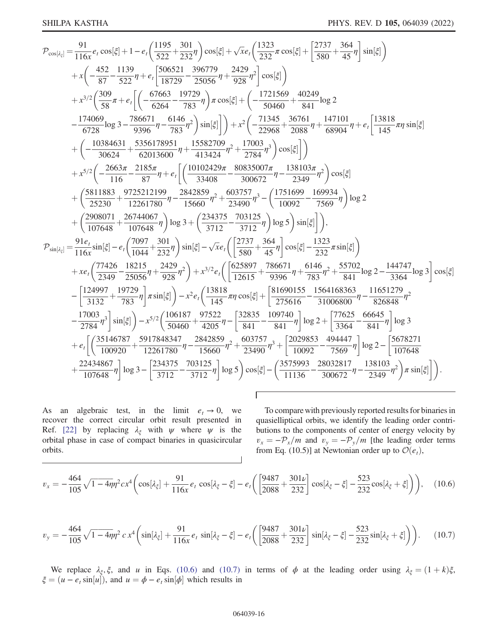$$
\begin{split}\n&\mathcal{P}_{\cos[k_{t}]}\n&=\frac{91}{116x}e_{t}\cos[\xi]+1-e_{t}\left(\frac{1195}{522}+\frac{301}{232}\eta\right)\cos[\xi]+\sqrt{x}e_{t}\left(\frac{1323}{232}\pi\cos[\xi]+\frac{2737}{580}+\frac{364}{45}\eta\right)\sin[\xi]\\
&+ x\left(-\frac{452}{87}-\frac{1139}{522}\eta+e_{t}\left[\frac{506521}{18729}-\frac{396779}{25056}\eta+\frac{2429}{928}\eta^{2}\right]\cos[\xi]\right)\\
&+ x^{3/2}\left(\frac{309}{58}\pi+e_{t}\left[\left(-\frac{67663}{6264}-\frac{19729}{783}\eta\right)\pi\cos[\xi]+\left(-\frac{1721569}{50460}+\frac{40249}{841}\log 2\right.\right.\right.\right.\left.\left.\left.\frac{174069}{6728}\log 3-\frac{786671}{9396}\eta-\frac{6146}{933}\eta^{2}\right)\sin[\xi]\right]\right)+ x^{2}\left(-\frac{71345}{22068}+\frac{36761}{2088}\eta+\frac{147101}{68904}\eta+e_{t}\left[\frac{13818}{145}\pi\eta\sin[\xi]+\left(-\frac{10384631}{30624}+\frac{5356178951}{62013600}\eta+\frac{15582709}{413424}\eta^{2}+\frac{17784}{2784}\eta^{3}\right)\cos[\xi]\right]\right)\\
&+ x^{5/2}\left(-\frac{2663\pi}{116}-\frac{2185\pi}{87}\eta+e_{t}\left[\left(\frac{10102429\pi}{33408}-\frac{80835007\pi}{300672}\eta-\frac{138103\pi}{22490}\eta^{2}\right)\cos[\xi]\right.\right.\\left.\left.\left.\left.+\left(\frac{5811883}{25230}-\frac{9725212199}{12261780}\eta-\frac{28428
$$

As an algebraic test, in the limit  $e_t \rightarrow 0$ , we recover the correct circular orbit result presented in Ref. [22] by replacing  $\lambda_{\xi}$  with  $\psi$  where  $\psi$  is the orbital phase in case of compact binaries in quasicircular orbits.

<span id="page-15-0"></span>To compare with previously reported results for binaries in quasielliptical orbits, we identify the leading order contributions to the components of center of energy velocity by  $v_x = -\mathcal{P}_x/m$  and  $v_y = -\mathcal{P}_y/m$  [the leading order terms from Eq. (10.5)] at Newtonian order up to  $\mathcal{O}(e_t)$ ,

<span id="page-15-1"></span>
$$
v_x = -\frac{464}{105}\sqrt{1 - 4\eta\eta^2}cx^4\left(\cos[\lambda_{\xi}] + \frac{91}{116x}e_t\cos[\lambda_{\xi} - \xi] - e_t\left(\frac{9487}{2088} + \frac{301\nu}{232}\right)\cos[\lambda_{\xi} - \xi] - \frac{523}{232}\cos[\lambda_{\xi} + \xi]\right),\tag{10.6}
$$

f

$$
v_y = -\frac{464}{105}\sqrt{1 - 4\eta\eta^2} c x^4 \left( \sin[\lambda_{\xi}] + \frac{91}{116x} e_t \sin[\lambda_{\xi} - \xi] - e_t \left( \frac{9487}{2088} + \frac{301\nu}{232} \right) \sin[\lambda_{\xi} - \xi] - \frac{523}{232} \sin[\lambda_{\xi} + \xi] \right) \right). \tag{10.7}
$$

We replace  $\lambda_{\xi}$ ,  $\xi$ , and u in Eqs. (10.6) and (10.7) in terms of  $\phi$  at the leading order using  $\lambda_{\xi} = (1 + k)\xi$ ,  $\xi = (u - e_t \sin[u])$ , and  $u = \phi - e_t \sin[\phi]$  which results in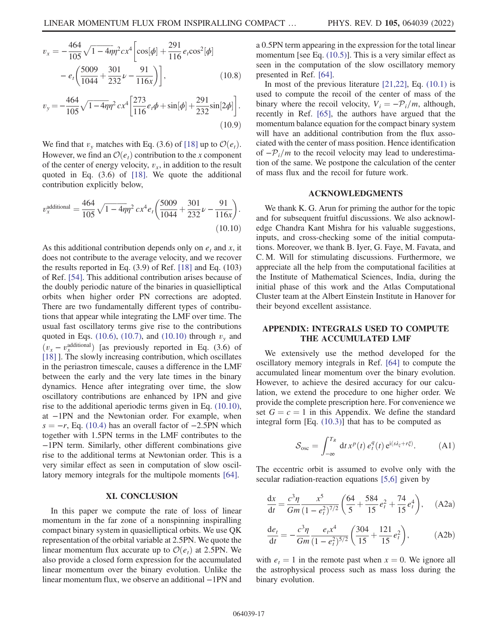$$
v_x = -\frac{464}{105}\sqrt{1 - 4\eta\eta^2}cx^4 \left[\cos[\phi] + \frac{291}{116}e_t\cos^2[\phi] - e_t\left(\frac{5009}{1044} + \frac{301}{232}\nu - \frac{91}{116x}\right)\right],
$$
 (10.8)

$$
v_y = -\frac{464}{105}\sqrt{1-4\eta\eta^2}cx^4\left[\frac{273}{116}e_t\phi + \sin[\phi] + \frac{291}{232}\sin[2\phi]\right].
$$
\n(10.9)

We find that  $v_y$  matches with Eq. (3.6) of [[18](#page-19-15)] up to  $\mathcal{O}(e_t)$ . However, we find an  $\mathcal{O}(e_t)$  contribution to the x component of the center of energy velocity,  $v_x$ , in addition to the result quoted in Eq. (3.6) of [\[18\]](#page-19-15). We quote the additional contribution explicitly below,

<span id="page-16-0"></span>
$$
v_x^{\text{additional}} = \frac{464}{105} \sqrt{1 - 4\eta} \eta^2 \, c x^4 e_t \left( \frac{5009}{1044} + \frac{301}{232} \nu - \frac{91}{116x} \right). \tag{10.10}
$$

As this additional contribution depends only on  $e_t$  and x, it does not contribute to the average velocity, and we recover the results reported in Eq. (3.9) of Ref. [\[18\]](#page-19-15) and Eq. (103) of Ref. [\[54\]](#page-20-2). This additional contribution arises because of the doubly periodic nature of the binaries in quasielliptical orbits when higher order PN corrections are adopted. There are two fundamentally different types of contributions that appear while integrating the LMF over time. The usual fast oscillatory terms give rise to the contributions quoted in Eqs. [\(10.6\),](#page-15-0) [\(10.7\),](#page-15-1) and [\(10.10\)](#page-16-0) through  $v_y$  and  $(v_x - v_x^{\text{additional}})$  [as previously reported in Eq. (3.6) of<br>[1811 The slowly increasing contribution which oscillates [\[18\]](#page-19-15) ]. The slowly increasing contribution, which oscillates in the periastron timescale, causes a difference in the LMF between the early and the very late times in the binary dynamics. Hence after integrating over time, the slow oscillatory contributions are enhanced by 1PN and give rise to the additional aperiodic terms given in Eq. [\(10.10\)](#page-16-0), at −1PN and the Newtonian order. For example, when  $s = -r$ , Eq. [\(10.4\)](#page-14-5) has an overall factor of  $-2.5$ PN which together with 1.5PN terms in the LMF contributes to the −1PN term. Similarly, other different combinations give rise to the additional terms at Newtonian order. This is a very similar effect as seen in computation of slow oscillatory memory integrals for the multipole moments [[64](#page-20-11)].

#### XI. CONCLUSION

In this paper we compute the rate of loss of linear momentum in the far zone of a nonspinning inspiralling compact binary system in quasielliptical orbits. We use QK representation of the orbital variable at 2.5PN. We quote the linear momentum flux accurate up to  $\mathcal{O}(e_t)$  at 2.5PN. We also provide a closed form expression for the accumulated linear momentum over the binary evolution. Unlike the linear momentum flux, we observe an additional −1PN and a 0.5PN term appearing in the expression for the total linear momentum [see Eq. [\(10.5\)](#page-14-4)]. This is a very similar effect as seen in the computation of the slow oscillatory memory presented in Ref. [[64](#page-20-11)].

In most of the previous literature  $[21,22]$  $[21,22]$  $[21,22]$ , Eq.  $(10.1)$  is used to compute the recoil of the center of mass of the binary where the recoil velocity,  $V_i = -P_i/m$ , although, recently in Ref. [\[65\]](#page-20-12), the authors have argued that the momentum balance equation for the compact binary system will have an additional contribution from the flux associated with the center of mass position. Hence identification of  $-\mathcal{P}_i/m$  to the recoil velocity may lead to underestimation of the same. We postpone the calculation of the center of mass flux and the recoil for future work.

# ACKNOWLEDGMENTS

We thank K. G. Arun for priming the author for the topic and for subsequent fruitful discussions. We also acknowledge Chandra Kant Mishra for his valuable suggestions, inputs, and cross-checking some of the initial computations. Moreover, we thank B. Iyer, G. Faye, M. Favata, and C. M. Will for stimulating discussions. Furthermore, we appreciate all the help from the computational facilities at the Institute of Mathematical Sciences, India, during the initial phase of this work and the Atlas Computational Cluster team at the Albert Einstein Institute in Hanover for their beyond excellent assistance.

# APPENDIX: INTEGRALS USED TO COMPUTE THE ACCUMULATED LMF

We extensively use the method developed for the oscillatory memory integrals in Ref. [[64](#page-20-11)] to compute the accumulated linear momentum over the binary evolution. However, to achieve the desired accuracy for our calculation, we extend the procedure to one higher order. We provide the complete prescription here. For convenience we set  $G = c = 1$  in this Appendix. We define the standard integral form [Eq. [\(10.3\)](#page-14-3)] that has to be computed as

<span id="page-16-2"></span>
$$
S_{\rm osc} = \int_{-\infty}^{T_R} dt \, x^p(t) \, e_t^q(t) \, e^{i(s\lambda_\xi + r\xi)}.
$$
 (A1)

<span id="page-16-1"></span>The eccentric orbit is assumed to evolve only with the secular radiation-reaction equations [[5](#page-19-4),[6](#page-19-5)] given by

$$
\frac{dx}{dt} = \frac{c^3 \eta}{Gm} \frac{x^5}{(1 - e_t^2)^{7/2}} \left( \frac{64}{5} + \frac{584}{15} e_t^2 + \frac{74}{15} e_t^4 \right), \quad (A2a)
$$

$$
\frac{de_t}{dt} = -\frac{c^3 \eta}{Gm} \frac{e_t x^4}{(1 - e_t^2)^{5/2}} \left( \frac{304}{15} + \frac{121}{15} e_t^2 \right),\tag{A2b}
$$

with  $e_t = 1$  in the remote past when  $x = 0$ . We ignore all the astrophysical process such as mass loss during the binary evolution.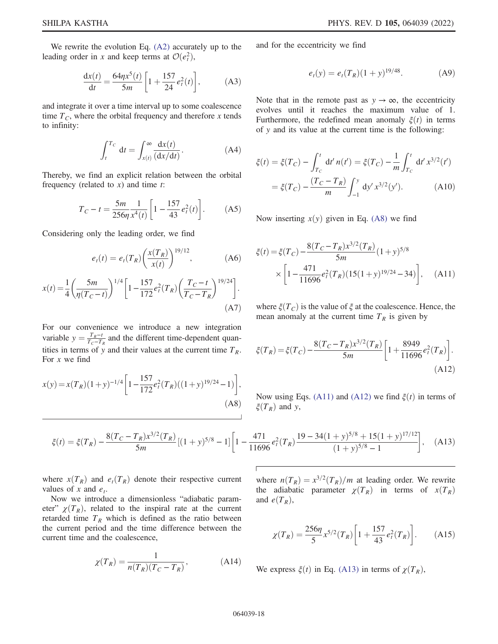We rewrite the evolution Eq. [\(A2\)](#page-16-1) accurately up to the leading order in x and keep terms at  $\mathcal{O}(e_i^2)$ ,

$$
\frac{dx(t)}{dt} = \frac{64\eta x^5(t)}{5m} \left[ 1 + \frac{157}{24} e_t^2(t) \right],
$$
 (A3)

and integrate it over a time interval up to some coalescence time  $T_c$ , where the orbital frequency and therefore x tends to infinity:

$$
\int_{t}^{T_C} dt = \int_{x(t)}^{\infty} \frac{dx(t)}{(dx/dt)}.
$$
 (A4)

Thereby, we find an explicit relation between the orbital frequency (related to  $x$ ) and time  $t$ :

$$
T_C - t = \frac{5m}{256\eta} \frac{1}{x^4(t)} \left[ 1 - \frac{157}{43} e_t^2(t) \right].
$$
 (A5)

Considering only the leading order, we find

$$
e_t(t) = e_t(T_R) \left(\frac{x(T_R)}{x(t)}\right)^{19/12}, \tag{A6}
$$

$$
x(t) = \frac{1}{4} \left( \frac{5m}{\eta(T_C - t)} \right)^{1/4} \left[ 1 - \frac{157}{172} e_t^2(T_R) \left( \frac{T_C - t}{T_C - T_R} \right)^{19/24} \right].
$$
\n(A7)

For our convenience we introduce a new integration variable  $y = \frac{T_R - t}{T_C - T_R}$  and the different time-dependent quan-<br>tities in target and their values at the sympatitims  $T$ tities in terms of y and their values at the current time  $T_R$ . For  $x$  we find

<span id="page-17-0"></span>
$$
x(y) = x(T_R)(1+y)^{-1/4} \left[ 1 - \frac{157}{172} e_t^2(T_R)((1+y)^{19/24} - 1) \right],
$$
\n(A8)

<span id="page-17-4"></span>and for the eccentricity we find

$$
e_t(y) = e_t(T_R)(1+y)^{19/48}.
$$
 (A9)

Note that in the remote past as  $y \to \infty$ , the eccentricity evolves until it reaches the maximum value of 1. Furthermore, the redefined mean anomaly  $\xi(t)$  in terms of y and its value at the current time is the following:

<span id="page-17-1"></span>
$$
\xi(t) = \xi(T_C) - \int_{T_C}^t dt' \, n(t') = \xi(T_C) - \frac{1}{m} \int_{T_C}^t dt' \, x^{3/2}(t')
$$

$$
= \xi(T_C) - \frac{(T_C - T_R)}{m} \int_{-1}^y dy' \, x^{3/2}(y'). \tag{A10}
$$

Now inserting  $x(y)$  given in Eq. [\(A8\)](#page-17-0) we find

<span id="page-17-2"></span>
$$
\xi(t) = \xi(T_C) - \frac{8(T_C - T_R)x^{3/2}(T_R)}{5m}(1+y)^{5/8}
$$

$$
\times \left[1 - \frac{471}{11696}e_t^2(T_R)(15(1+y)^{19/24} - 34)\right], \quad \text{(A11)}
$$

where  $\xi(T_C)$  is the value of  $\xi$  at the coalescence. Hence, the mean anomaly at the current time  $T_R$  is given by

$$
\xi(T_R) = \xi(T_C) - \frac{8(T_C - T_R)x^{3/2}(T_R)}{5m} \left[ 1 + \frac{8949}{11696} e_t^2(T_R) \right].
$$
\n(A12)

Now using Eqs. [\(A11\)](#page-17-1) and [\(A12\)](#page-17-2) we find  $\xi(t)$  in terms of  $\xi(T_R)$  and y,

<span id="page-17-3"></span>
$$
\xi(t) = \xi(T_R) - \frac{8(T_C - T_R)x^{3/2}(T_R)}{5m} \left[ (1+y)^{5/8} - 1 \right] \left[ 1 - \frac{471}{11696} e_t^2(T_R) \frac{19 - 34(1+y)^{5/8} + 15(1+y)^{17/12}}{(1+y)^{5/8} - 1} \right], \quad (A13)
$$

where  $x(T_R)$  and  $e_t(T_R)$  denote their respective current values of x and  $e_t$ .

Now we introduce a dimensionless "adiabatic parameter"  $\chi(T_R)$ , related to the inspiral rate at the current retarded time  $T_R$  which is defined as the ratio between the current period and the time difference between the current time and the coalescence,

$$
\chi(T_R) = \frac{1}{n(T_R)(T_C - T_R)},\tag{A14}
$$

where  $n(T_R) = x^{3/2}(T_R)/m$  at leading order. We rewrite the adiabatic parameter  $\chi(T_R)$  in terms of  $x(T_R)$ and  $e(T_R)$ ,

$$
\chi(T_R) = \frac{256\eta}{5} x^{5/2} (T_R) \left[ 1 + \frac{157}{43} e_t^2 (T_R) \right]. \tag{A15}
$$

We express  $\xi(t)$  in Eq. [\(A13\)](#page-17-3) in terms of  $\chi(T_R)$ ,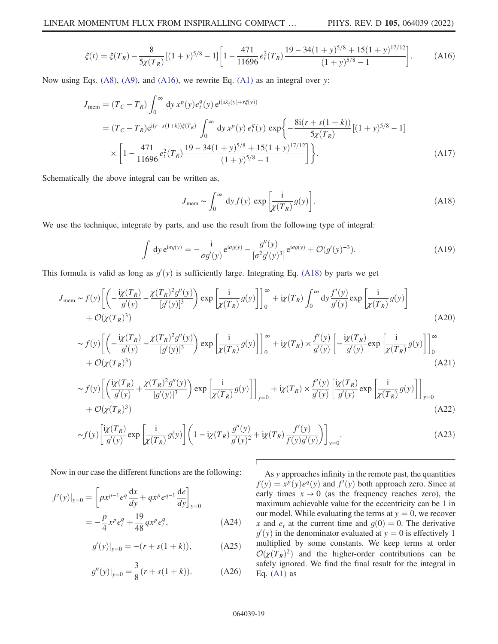$$
\xi(t) = \xi(T_R) - \frac{8}{5\chi(T_R)}[(1+y)^{5/8} - 1]\left[1 - \frac{471}{11696}e_t^2(T_R)\frac{19 - 34(1+y)^{5/8} + 15(1+y)^{17/12}}{(1+y)^{5/8} - 1}\right].\tag{A16}
$$

<span id="page-18-0"></span>Now using Eqs. [\(A8\)](#page-17-0), [\(A9\)](#page-17-4), and [\(A16\)](#page-18-0), we rewrite Eq. [\(A1\)](#page-16-2) as an integral over y:

$$
J_{\text{mem}} = (T_C - T_R) \int_0^\infty dy \, x^p(y) e_t^q(y) e^{i(s\lambda_\xi(y) + r\xi(y))}
$$
  
=  $(T_C - T_R) e^{i(r+s(1+k))\xi(T_R)} \int_0^\infty dy \, x^p(y) e_t^q(y) \exp\left\{-\frac{8i(r+s(1+k))}{5\chi(T_R)}[(1+y)^{5/8} - 1]\right\}$   
 $\times \left[1 - \frac{471}{11696} e_t^2(T_R) \frac{19 - 34(1+y)^{5/8} + 15(1+y)^{17/12}}{(1+y)^{5/8} - 1}\right]\right\}.$  (A17)

<span id="page-18-1"></span>Schematically the above integral can be written as,

$$
J_{\text{mem}} \sim \int_0^\infty dy f(y) \, \exp\left[\frac{i}{\chi(T_R)} g(y)\right].\tag{A18}
$$

We use the technique, integrate by parts, and use the result from the following type of integral:

$$
\int dy \, e^{i\sigma g(y)} = -\frac{i}{\sigma g'(y)} e^{i\sigma g(y)} - \frac{g''(y)}{[\sigma^2 g'(y)^3]} e^{i\sigma g(y)} + \mathcal{O}(g'(y)^{-3}). \tag{A19}
$$

This formula is valid as long as  $g'(y)$  is sufficiently large. Integrating Eq. [\(A18\)](#page-18-1) by parts we get

$$
J_{\text{mem}} \sim f(y) \left[ \left( -\frac{i\chi(T_R)}{g'(y)} - \frac{\chi(T_R)^2 g''(y)}{[g'(y)]^3} \right) \exp\left[ \frac{i}{\chi(T_R)} g(y) \right] \right]_0^{\infty} + i\chi(T_R) \int_0^{\infty} dy \frac{f'(y)}{g'(y)} \exp\left[ \frac{i}{\chi(T_R)} g(y) \right] + \mathcal{O}(\chi(T_R)^3) \tag{A20}
$$
  

$$
\sim f(y) \left[ \left( -\frac{i\chi(T_R)}{g'(y)} - \frac{\chi(T_R)^2 g''(y)}{[g'(y)]^3} \right) \exp\left[ \frac{i}{\chi(T_R)} g(y) \right] \right]_0^{\infty} + i\chi(T_R) \times \frac{f'(y)}{g'(y)} \left[ -\frac{i\chi(T_R)}{g'(y)} \exp\left[ \frac{i}{\chi(T_R)} g(y) \right] \right]_0^{\infty} + \mathcal{O}(\chi(T_R)^3) \tag{A21}
$$
  

$$
\sim f(y) \left[ \left( \frac{i\chi(T_R)}{g'(y)} + \frac{\chi(T_R)^2 g''(y)}{[g'(y)]^3} \right) \exp\left[ \frac{i}{\chi(T_R)} g(y) \right] \right]_{y=0} + i\chi(T_R) \times \frac{f'(y)}{g'(y)} \left[ \frac{i\chi(T_R)}{g'(y)} \exp\left[ \frac{i}{\chi(T_R)} g(y) \right] \right]_{y=0}
$$

$$
+\mathcal{O}(\chi(T_R)^3) \tag{A22}
$$

$$
\sim f(y)\left[\frac{i\chi(T_R)}{g'(y)}\exp\left[\frac{i}{\chi(T_R)}g(y)\right]\left(1-i\chi(T_R)\frac{g''(y)}{g'(y)^2}+i\chi(T_R)\frac{f'(y)}{f(y)g'(y)}\right)\right]_{y=0}.\tag{A23}
$$

Г

Now in our case the different functions are the following:

$$
f'(y)|_{y=0} = \left[ px^{p-1} e^q \frac{dx}{dy} + qx^p e^{q-1} \frac{de}{dy} \right]_{y=0}
$$
  
= 
$$
-\frac{p}{4} x^p e^q_t + \frac{19}{48} q x^p e^q_t,
$$
 (A24)

$$
g'(y)|_{y=0} = -(r + s(1 + k)),
$$
 (A25)

$$
g''(y)|_{y=0} = \frac{3}{8}(r + s(1+k)).
$$
 (A26)

As y approaches infinity in the remote past, the quantities  $f(y) = x^p(y)e^q(y)$  and  $f'(y)$  both approach zero. Since at early times  $x \to 0$  (as the frequency reaches zero) the early times  $x \to 0$  (as the frequency reaches zero), the maximum achievable value for the eccentricity can be 1 in our model. While evaluating the terms at  $y = 0$ , we recover x and  $e_t$  at the current time and  $g(0) = 0$ . The derivative  $g'(y)$  in the denominator evaluated at  $y = 0$  is effectively 1<br>multiplied by some constants. We keep terms at order multiplied by some constants. We keep terms at order  $\mathcal{O}(\chi(T_R)^2)$  and the higher-order contributions can be safely ignored. We find the final result for the integral in Eq.  $(A1)$  as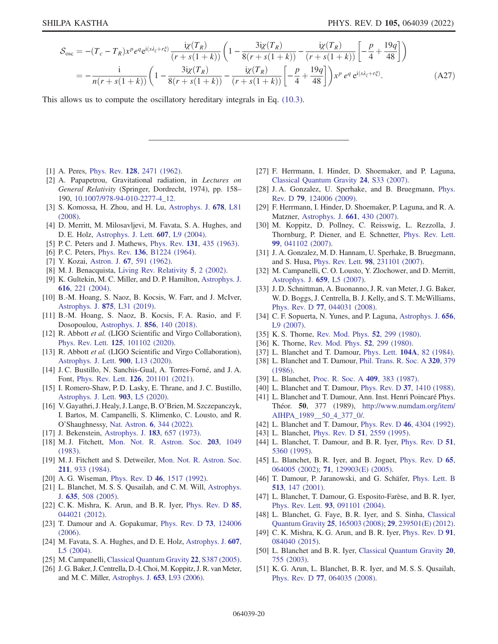$$
S_{osc} = -(T_c - T_R)x^p e^q e^{i(s\lambda_{\xi} + r\xi)} \frac{i\chi(T_R)}{(r + s(1 + k))} \left(1 - \frac{3i\chi(T_R)}{8(r + s(1 + k))} - \frac{i\chi(T_R)}{(r + s(1 + k))} \left[-\frac{p}{4} + \frac{19q}{48}\right]\right)
$$
  
= 
$$
-\frac{i}{n(r + s(1 + k))} \left(1 - \frac{3i\chi(T_R)}{8(r + s(1 + k))} - \frac{i\chi(T_R)}{(r + s(1 + k))} \left[-\frac{p}{4} + \frac{19q}{48}\right]\right) x^p e^q e^{i(s\lambda_{\xi} + r\xi)}.
$$
 (A27)

This allows us to compute the oscillatory hereditary integrals in Eq. [\(10.3\).](#page-14-3)

- <span id="page-19-0"></span>[1] A. Peres, Phys. Rev. **128**[, 2471 \(1962\)](https://doi.org/10.1103/PhysRev.128.2471).
- <span id="page-19-1"></span>[2] A. Papapetrou, Gravitational radiation, in Lectures on General Relativity (Springer, Dordrecht, 1974), pp. 158– 190, [10.1007/978-94-010-2277-4\\_12.](https://doi.org/10.1007/978-94-010-2277-4_12)
- <span id="page-19-2"></span>[3] S. Komossa, H. Zhou, and H. Lu, [Astrophys. J.](https://doi.org/10.1086/588656) 678, L81 [\(2008\).](https://doi.org/10.1086/588656)
- <span id="page-19-3"></span>[4] D. Merritt, M. Milosavljevi, M. Favata, S. A. Hughes, and D. E. Holz, [Astrophys. J. Lett.](https://doi.org/10.1086/421551) 607, L9 (2004).
- <span id="page-19-5"></span><span id="page-19-4"></span>[5] P. C. Peters and J. Mathews, Phys. Rev. 131[, 435 \(1963\)](https://doi.org/10.1103/PhysRev.131.435).
- <span id="page-19-6"></span>[6] P. C. Peters, Phys. Rev. **136**[, B1224 \(1964\)](https://doi.org/10.1103/PhysRev.136.B1224).
- <span id="page-19-7"></span>[7] Y. Kozai, Astron. J. 67[, 591 \(1962\).](https://doi.org/10.1086/108790)
- [8] M. J. Benacquista, [Living Rev. Relativity](https://doi.org/10.12942/lrr-2002-2) 5, 2 (2002).
- <span id="page-19-8"></span>[9] K. Gultekin, M. C. Miller, and D. P. Hamilton, [Astrophys. J.](https://doi.org/10.1086/424809) 616[, 221 \(2004\)](https://doi.org/10.1086/424809).
- [10] B.-M. Hoang, S. Naoz, B. Kocsis, W. Farr, and J. McIver, [Astrophys. J.](https://doi.org/10.3847/2041-8213/ab14f7) 875, L31 (2019).
- <span id="page-19-9"></span>[11] B.-M. Hoang, S. Naoz, B. Kocsis, F. A. Rasio, and F. Dosopoulou, [Astrophys. J.](https://doi.org/10.3847/1538-4357/aaafce) 856, 140 (2018).
- <span id="page-19-10"></span>[12] R. Abbott et al. (LIGO Scientific and Virgo Collaboration), Phys. Rev. Lett. 125[, 101102 \(2020\).](https://doi.org/10.1103/PhysRevLett.125.101102)
- <span id="page-19-11"></span>[13] R. Abbott et al. (LIGO Scientific and Virgo Collaboration), [Astrophys. J. Lett.](https://doi.org/10.3847/2041-8213/aba493) 900, L13 (2020).
- <span id="page-19-12"></span>[14] J. C. Bustillo, N. Sanchis-Gual, A. Torres-Forné, and J. A. Font, Phys. Rev. Lett. 126[, 201101 \(2021\).](https://doi.org/10.1103/PhysRevLett.126.201101)
- [15] I. Romero-Shaw, P. D. Lasky, E. Thrane, and J. C. Bustillo, [Astrophys. J. Lett.](https://doi.org/10.3847/2041-8213/abbe26) 903, L5 (2020).
- <span id="page-19-13"></span>[16] V. Gayathri, J. Healy, J. Lange, B. O'Brien, M. Szczepanczyk, I. Bartos, M. Campanelli, S. Klimenko, C. Lousto, and R. O'Shaughnessy, Nat. Astron. 6[, 344 \(2022\).](https://doi.org/10.1038/s41550-021-01568-w)
- <span id="page-19-15"></span><span id="page-19-14"></span>[17] J. Bekenstein, [Astrophys. J.](https://doi.org/10.1086/152255) **183**, 657 (1973).
- [18] M. J. Fitchett, [Mon. Not. R. Astron. Soc.](https://doi.org/10.1093/mnras/203.4.1049) 203, 1049 [\(1983\).](https://doi.org/10.1093/mnras/203.4.1049)
- <span id="page-19-16"></span>[19] M. J. Fitchett and S. Detweiler, [Mon. Not. R. Astron. Soc.](https://doi.org/10.1093/mnras/211.4.933) 211[, 933 \(1984\)](https://doi.org/10.1093/mnras/211.4.933).
- <span id="page-19-18"></span><span id="page-19-17"></span>[20] A. G. Wiseman, Phys. Rev. D 46[, 1517 \(1992\).](https://doi.org/10.1103/PhysRevD.46.1517)
- [21] L. Blanchet, M. S. S. Qusailah, and C. M. Will, [Astrophys.](https://doi.org/10.1086/497332) J. 635[, 508 \(2005\).](https://doi.org/10.1086/497332)
- <span id="page-19-19"></span>[22] C. K. Mishra, K. Arun, and B. R. Iyer, [Phys. Rev. D](https://doi.org/10.1103/PhysRevD.85.044021) 85, [044021 \(2012\).](https://doi.org/10.1103/PhysRevD.85.044021)
- <span id="page-19-20"></span>[23] T. Damour and A. Gopakumar, [Phys. Rev. D](https://doi.org/10.1103/PhysRevD.73.124006) **73**, 124006 [\(2006\).](https://doi.org/10.1103/PhysRevD.73.124006)
- <span id="page-19-21"></span>[24] M. Favata, S. A. Hughes, and D. E. Holz, [Astrophys. J.](https://doi.org/10.1086/421552) 607, [L5 \(2004\).](https://doi.org/10.1086/421552)
- <span id="page-19-22"></span>[25] M. Campanelli, [Classical Quantum Gravity](https://doi.org/10.1088/0264-9381/22/10/034) 22, S387 (2005).
- [26] J. G. Baker, J. Centrella, D.-I. Choi, M. Koppitz, J. R. van Meter, and M. C. Miller, [Astrophys. J.](https://doi.org/10.1086/510448) 653, L93 (2006).
- [27] F. Herrmann, I. Hinder, D. Shoemaker, and P. Laguna, [Classical Quantum Gravity](https://doi.org/10.1088/0264-9381/24/12/S04) 24, S33 (2007).
- <span id="page-19-23"></span>[28] J.A. Gonzalez, U. Sperhake, and B. Bruegmann, [Phys.](https://doi.org/10.1103/PhysRevD.79.124006) Rev. D 79[, 124006 \(2009\)](https://doi.org/10.1103/PhysRevD.79.124006).
- <span id="page-19-24"></span>[29] F. Herrmann, I. Hinder, D. Shoemaker, P. Laguna, and R. A. Matzner, [Astrophys. J.](https://doi.org/10.1086/513603) 661, 430 (2007).
- [30] M. Koppitz, D. Pollney, C. Reisswig, L. Rezzolla, J. Thornburg, P. Diener, and E. Schnetter, [Phys. Rev. Lett.](https://doi.org/10.1103/PhysRevLett.99.041102) 99[, 041102 \(2007\).](https://doi.org/10.1103/PhysRevLett.99.041102)
- <span id="page-19-25"></span>[31] J. A. Gonzalez, M. D. Hannam, U. Sperhake, B. Bruegmann, and S. Husa, Phys. Rev. Lett. 98[, 231101 \(2007\)](https://doi.org/10.1103/PhysRevLett.98.231101).
- <span id="page-19-26"></span>[32] M. Campanelli, C. O. Lousto, Y. Zlochower, and D. Merritt, [Astrophys. J.](https://doi.org/10.1086/516712) 659, L5 (2007).
- <span id="page-19-27"></span>[33] J. D. Schnittman, A. Buonanno, J. R. van Meter, J. G. Baker, W. D. Boggs, J. Centrella, B. J. Kelly, and S. T. McWilliams, Phys. Rev. D 77[, 044031 \(2008\)](https://doi.org/10.1103/PhysRevD.77.044031).
- <span id="page-19-28"></span>[34] C. F. Sopuerta, N. Yunes, and P. Laguna, [Astrophys. J.](https://doi.org/10.1086/512067) 656, [L9 \(2007\).](https://doi.org/10.1086/512067)
- <span id="page-19-30"></span><span id="page-19-29"></span>[35] K. S. Thorne, [Rev. Mod. Phys.](https://doi.org/10.1103/RevModPhys.52.299) **52**, 299 (1980).
- [36] K. Thorne, [Rev. Mod. Phys.](https://doi.org/10.1103/RevModPhys.52.299) **52**, 299 (1980).
- [37] L. Blanchet and T. Damour, Phys. Lett. **104A**[, 82 \(1984\).](https://doi.org/10.1016/0375-9601(84)90967-8)
- [38] L. Blanchet and T. Damour, [Phil. Trans. R. Soc. A](https://doi.org/10.1098/rsta.1986.0125) 320, 379 [\(1986\).](https://doi.org/10.1098/rsta.1986.0125)
- [39] L. Blanchet, [Proc. R. Soc. A](https://doi.org/10.1098/rspa.1987.0022) 409, 383 (1987).
- [40] L. Blanchet and T. Damour, Phys. Rev. D 37[, 1410 \(1988\).](https://doi.org/10.1103/PhysRevD.37.1410)
- [41] L. Blanchet and T. Damour, Ann. Inst. Henri Poincaré Phys. Théor. 50, 377 (1989), [http://www.numdam.org/item/](http://www.numdam.org/item/AIHPA_1989__50_4_377_0/) [AIHPA\\_1989\\_\\_50\\_4\\_377\\_0/](http://www.numdam.org/item/AIHPA_1989__50_4_377_0/).
- <span id="page-19-37"></span>[42] L. Blanchet and T. Damour, Phys. Rev. D 46[, 4304 \(1992\).](https://doi.org/10.1103/PhysRevD.46.4304)
- [43] L. Blanchet, Phys. Rev. D **51**[, 2559 \(1995\).](https://doi.org/10.1103/PhysRevD.51.2559)
- [44] L. Blanchet, T. Damour, and B. R. Iyer, [Phys. Rev. D](https://doi.org/10.1103/PhysRevD.51.5360) 51, [5360 \(1995\)](https://doi.org/10.1103/PhysRevD.51.5360).
- <span id="page-19-36"></span>[45] L. Blanchet, B. R. Iyer, and B. Joguet, [Phys. Rev. D](https://doi.org/10.1103/PhysRevD.65.064005) 65, [064005 \(2002\);](https://doi.org/10.1103/PhysRevD.65.064005) 71[, 129903\(E\) \(2005\).](https://doi.org/10.1103/PhysRevD.71.129903)
- [46] T. Damour, P. Jaranowski, and G. Schäfer, [Phys. Lett. B](https://doi.org/10.1016/S0370-2693(01)00642-6) 513[, 147 \(2001\)](https://doi.org/10.1016/S0370-2693(01)00642-6).
- <span id="page-19-31"></span>[47] L. Blanchet, T. Damour, G. Esposito-Farèse, and B. R. Iyer, Phys. Rev. Lett. 93[, 091101 \(2004\)](https://doi.org/10.1103/PhysRevLett.93.091101).
- <span id="page-19-32"></span>[48] L. Blanchet, G. Faye, B. R. Iyer, and S. Sinha, [Classical](https://doi.org/10.1088/0264-9381/25/16/165003) [Quantum Gravity](https://doi.org/10.1088/0264-9381/25/16/165003) 25, 165003 (2008); 29[, 239501\(E\) \(2012\).](https://doi.org/10.1088/0264-9381/29/23/239501)
- <span id="page-19-33"></span>[49] C. K. Mishra, K. G. Arun, and B. R. Iyer, *[Phys. Rev. D](https://doi.org/10.1103/PhysRevD.91.084040)* 91, [084040 \(2015\).](https://doi.org/10.1103/PhysRevD.91.084040)
- <span id="page-19-34"></span>[50] L. Blanchet and B. R. Iyer, [Classical Quantum Gravity](https://doi.org/10.1088/0264-9381/20/4/309) 20, [755 \(2003\)](https://doi.org/10.1088/0264-9381/20/4/309).
- <span id="page-19-35"></span>[51] K. G. Arun, L. Blanchet, B. R. Iyer, and M. S. S. Qusailah, Phys. Rev. D 77[, 064035 \(2008\)](https://doi.org/10.1103/PhysRevD.77.064035).